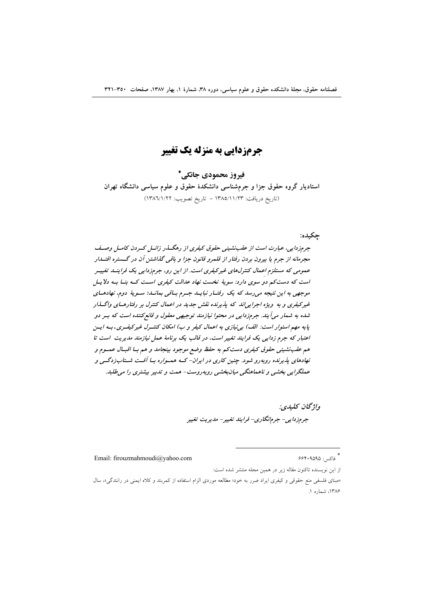**جرمزدایی به منزله یک تغییر** 

فيروز محمودي جانكي\* استادیار گروه حقوق جزا و جرمشناسی دانشکدهٔ حقوق و علوم سیاسی دانشگاه تهران (تاريخ دريافت: ١٣٨٥/١١/٢٣ - تاريخ تصويب: ١٣٨٦/١/٢٢)

حكىدە:

جرمزدایی، عبارت است از عقب نشینی حقوق کیفری از رهگسذر زائسل کسردن کامسل وصیف مجرمانه از جرم با بیرون بردن رفتار از قلمرو قانون جزا و باقبی گذاشتین آن در گستره اقتسار عمومی که مستلزم اعمال کنترلهای غیرکیفری است. از این رو، جرمزدایی یک فراینــا. تغییـر است که دست کم دو سوی دارد: سویهٔ نخست نهاد عدالت کیفری است کـه بنــا بــه دلایــل موجهی به این نتیجه می رسد که یک رفتـار نبایـد جـرم بـاقی بمانـد؛ سـویهٔ دوم، نهادهـای غیرکیفری و به ویژه اجرایی اند که پذیرنده نقش جدید در اعمال کنترل بر رفتارهای واگسذار شده به شمار میآیند. جرمزدایی در محتوا نیازمند توجیهی معقول و قانع کننده است که بسر دو پایه مهم استوار است: الف) به نیازی به اعمال کیفر و ب) امکان کنتـرل غیرکیفـری. بـه ایـن اعتبار که جرم زدایی یک فرایند تغییر است، در قالب یک برنامهٔ عمل نیازمند مدیریت است تا هم عقب نشینی حقوق کیفری دست کم به حفظ وضع موجود بینجامد و هم بـا اقبـال عمـوم و نهادهای پذیرنده روبهرو شود. چنین کاری در ایران- کـه همـواره بـا آفـت شـتابزدگـی و عملگرایی بخشی و ناهماهنگی میان بخشی روبه روست- همت و تدبیر بیشتری را میطلبد.

> واژگان كليدي: جرمزدایی- جرمانگاری- فرایند تغییر- مدیریت تغییر

Email: firouzmahmoudi@yahoo.com

\* فاكس: ۶۶۴۰۹۵۹۵

از این نویسنده تاکنون مقاله زیر در همین مجله منتشر شده است:

«مبنای فلسفی منع حقوقی و کیفری ایراد ضرر به خود؛ مطالعه موردی الزام استفاده از کمربند و کلاه ایمنی در رانندگی»، سال ۱۳۸۶، شماره ۱.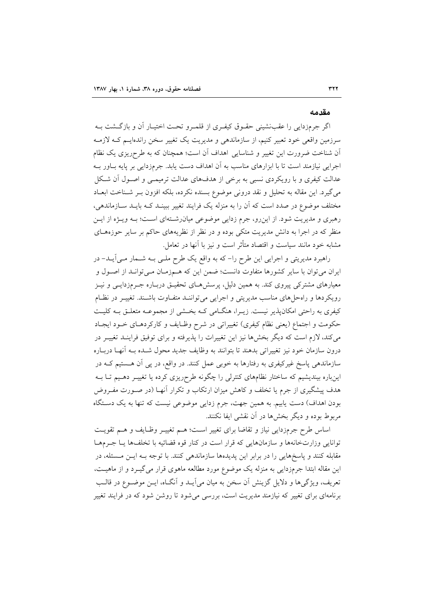#### مقدمه

اگر جرمزدایی را عقبنشینی حقـوق کیفـری از قلمـرو تحـت اختیـار آن و بازگـشت بــه سرزمین واقعی خود تعبیر کنیم، از سازماندهی و مدیریت یک تغییر سخن راندهایـم کــه لازمــه آن شناخت ضرورت این تغییر و شناسایی اهداف آن است؛ همچنان که به طرحریزی یک نظام اجرایی نیازمند است تا با ابزارهای مناسب به آن اهداف دست یابد. جرمزدایی بر پایه بـاور بـه عدالت کیفری و با رویکردی نسبی به برخی از هدفهای عدالت ترمیمـی و اصـول آن شـکل میگیرد. این مقاله به تحلیل و نقد درونی موضوع بسنده نکرده، بلکه افزون بـر شـناخت ابعـاد مختلف موضوع در صدد است که آن را به منزله یک فرایند تغییر ببینـد کــه بایــد ســازماندهی، رهبری و مدیریت شود. از این رو، جرم زدایی موضوعی میان رشتهای است؛ بـه ویـژه از ایـن منظر که در اجرا به دانش مدیریت متکی بوده و در نظر از نظریههای حاکم بر سایر حوزههـای مشابه خود مانند سیاست و اقتصاد متأثر است و نیز با آنها در تعامل.

راهبرد مدیریتی و اجرایی این طرح را–که به واقع یک طرح ملـی بـه شــمار مــی]یــد– در ایران می توان با سایر کشورها متفاوت دانست؛ ضمن این که هـمزمـان مـی توانـد از اصـول و معیارهای مشترکی پیروی کند. به همین دلیل، پرسشهـای تحقیـق دربـاره جـرمزدایـی و نیـز رویکردها و راهحلهای مناسب مدیریتی و اجرایی می تواننـد متفـاوت باشـند. تغییـر در نظـام کیفری به راحتی امکانپذیر نیست. زیـرا، هنگـامی کـه بخـشی از مجموعـه متعلـق بـه کلیـت حکومت و اجتماع (يعني نظام کيفري) تغييراتي در شرح وظـايف و کارکردهـاي خــود ايجـاد می کند، لازم است که دیگر بخشها نیز این تغییرات را پذیرفته و برای توفیق فراینـد تغییـر در درون سازمان خود نيز تغييراتي بدهند تا بتوانند به وظايف جديد محول شـده بــه آنهـا دربــاره سازماندهی پاسخ غیرکیفری به رفتارها به خوبی عمل کنند. در واقع، در پی آن هـستیم کـه در اینباره بیندیشیم که ساختار نظامهای کنترلی را چگونه طرحریزی کرده یا تغییـر دهـیم تـا بــه هدف پیشگیری از جرم یا تخلف و کاهش میزان ارتکاب و تکرار آنهـا (در صـورت مفـروض بودن اهداف) دست پابیم. به همین جهت، جرم زدایی موضوعی نیست که تنها به یک دستگاه مربوط بوده و دیگر بخشها در آن نقشی ایفا نکنند.

اساس طرح جرمزدایی نیاز و تقاضا برای تغییر است؛ هـم تغییـر وظـایف و هـم تقویـت توانایی وزارتخانهها و سازمانهایی که قرار است در کنار قوه قضائیه با تخلفها یـا جـرمهـا مقابله کنند و پاسخهایی را در برابر این پدیدهها سازماندهی کنند. با توجه بـه ایــن مــسئله، در این مقاله ابتدا جرمزدایی به منزله یک موضوع مورد مطالعه ماهوی قرار می گیـرد و از ماهیـت، تعریف، ویژگیها و دلایل گزینش آن سخن به میان میآیـد و آنگـاه، ایـن موضـوع در قالـب برنامهای برای تغییر که نیازمند مدیریت است، بررسی می شود تا روشن شود که در فرایند تغییر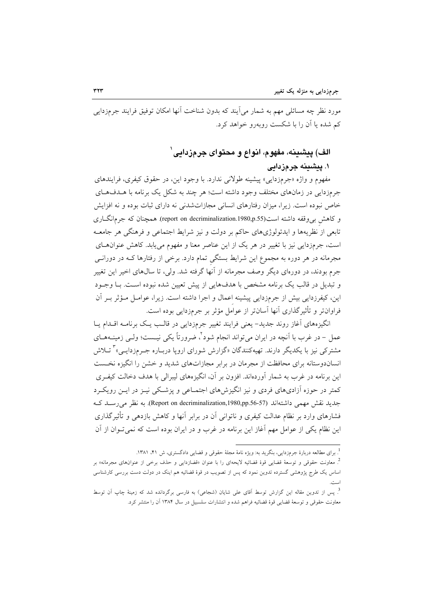مورد نظر چه مسائلی مهم به شمار می[یند که بدون شناخت آنها امکان توفیق فرایند جرمزدایی کم شده یا آن را با شکست رویهرو خواهد کرد.

# الف) پیشینه، مفهوم، انواع و محتوای جرمزدایی`

# ١. پیشینه جرمزدایی

مفهوم و واژه «جرمزدایی» پیشینه طولانی ندارد. با وجود این، در حقوق کیفری، فرایندهای جرمزدایی در زمانهای مختلف وجود داشته است؛ هر چند به شکل یک برنامه با هــدفهـای خاص نبوده است. زیرا، میزان رفتارهای انسانی مجازاتشدنی نه دارای ثبات بوده و نه افزایش و کاهش بی وقفه داشته است(report on decriminalization.1980,p.55). همچنان که جرمانگــاری تابعي از نظريهها و ايدئولوژيهاي حاكم بر دولت و نيز شرايط اجتماعي و فرهنگي هر جامعـه است، جرمزدایی نیز با تغییر در هر یک از این عناصر معنا و مفهوم می یابد. کاهش عنوان های مجرمانه در هر دوره به مجموع این شرایط بستگی تمام دارد. برخی از رفتارها کـه در دورانــی جرم بودند، در دورهای دیگر وصف مجرمانه از آنها گرفته شد. ولی، تا سالهای اخیر این تغییر و تبدیل در قالب یک برنامه مشخص با هدفهایی از پیش تعیین شده نبوده است. بـا وجـود این، کیفرزدایی بیش از جرمزدایی پیشینه اعمال و اجرا داشته است. زیرا، عوامـل مـؤثر بـر آن فراوانتر و تأثیر گذاری آنها آسانتر از عوامل مؤثر بر جرمزدایی بوده است.

انگیزههای آغاز روند جدید- یعنی فرایند تغییر جرمزدایی در قالب یـک برنامـه اقـدام پــا عمل – در غرب با آنچه در ایران میتواند انجام شود ٌ، ضرورتاً یکی نیــست؛ ولــی زمینــههــای مشترکی نیز با یکدیگر دارند. تهیهکنندگان «گزارش شورای اروپا دربـاره جـرمزدایـی»<sup>۳</sup> تــلاش انساندوستانه برای محافظت از مجرمان در برابر مجازاتهای شدید و خشن را انگیزه نخـست این برنامه در غرب به شمار آوردهاند. افزون بر آن، انگیزههای لیبرالی با هدف دخالت کیفـری کمتر در حوزه آزادیهای فردی و نیز انگیزشهای اجتمـاعی و پزشـکی نیـز در ایــن رویکــرد جدید نقش مهمی داشتهاند (Report on decriminalization,1980,pp.56-57). به نظر می رسـد کـه فشارهای وارد بر نظام عدالت کیفری و ناتوانی آن در برابر آنها و کاهش بازدهی و تأثیر گذاری این نظام یکی از عوامل مهم آغاز این برنامه در غرب و در ایران بوده است که نمی تــوان از آن

<sup>.&</sup>lt;br><sup>1</sup>. برای مطالعه دربارهٔ جرمزدایی، بنگرید به: ویژه نامهٔ مجلهٔ حقوقی و قضایی دادگستری، ش ۴۱، ۱۳۸۱.

<sup>&</sup>lt;sup>2</sup>. معاونت حقوقی و توسعهٔ قضایی قوهٔ قضائیه لایحهای را با عنوان «قضازدایی و حذف برخی از عنوانهای مجرمانه» بر اساس یک طرج پژوهشی گسترده تدوین نمود که پس از تصویب در قوهٔ قضائیه هم اینک در دولت دست بررسی کارشناسی

<sup>&</sup>lt;sup>3</sup>. پس از تدوین مقاله این گزارش توسط آقای علی شایان (شجاعی) به فارسی برگردانده شد که زمینهٔ چاپ آن توسط معاونت حقوقی و توسعهٔ قضایی قوهٔ قضائیه فراهم شده و انتشارات سلسبیل در سال ۱۳۸۴ آن را منتشر کرد.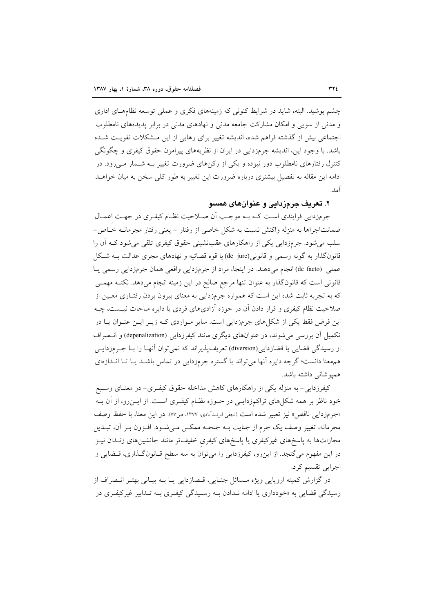چشم پوشید. البته، شاید در شرایط کنونی که زمینههای فکری و عملی توسعه نظامهـای اداری و مدنی از سویی و امکان مشارکت جامعه مدنی و نهادهای مدنی در برابر پدیدههای نامطلوب اجتماعی بیش از گذشته فراهم شده، اندیشه تغییر برای رهایی از این مشکلات تقویت شده باشد. با وجود این، اندیشه جرمزدایی در ایران از نظریههای پیرامون حقوق کیفری و چگونگی کنترل رفتارهای نامطلوب دور نبوده و یکی از رکنهای ضرورت تغییر بـه شــمار مــی٫رود. در ادامه این مقاله به تفصیل بیشتری درباره ضرورت این تغییر به طور کلی سخن به میان خواهـد آمد.

# ۲. تعريف جر ۾زيايي و عنوان هاي همسو

جرمزدایی فرایندی است کـه بـه موجـب اَن صـلاحیت نظـام کیفـری در جهـت اعمـال ضمانتاجراها به منزله واكنش نسبت به شكل خاصي از رفتار – يعني رفتار مجرمانــه خــاص-سلب می شود. جرمزدایی یکی از راهکارهای عقب نشینی حقوق کیفری تلقی می شود کـه آن را قانونگذار به گونه رسمی و قانونی(de jure) یا قوه قضائیه و نهادهای مجری عدالت بـه شـکل عملي (de facto) انجام مي دهند. در اينجا، مراد از جرمزدايي واقعي همان جرمزدايي رسمي يـا قانونی است که قانونگذار به عنوان تنها مرجع صالح در این زمینه انجام میدهد. نکتـه مهمـی که به تجربه ثابت شده این است که همواره جرمزدایی به معنای بیرون بردن رفتـاری معـین از صلاحیت نظام کیفری و قرار دادن آن در حوزه آزادیهای فردی یا دایره مباحات نیست، چـه این فرض فقط یکی از شکلهای جرمزدایی است. سایر مـواردی کـه زیـر ایـن عنـوان یـا در تکمیل آن بررسی می شوند، در عنوانهای دیگری مانند کیفرزدایی (depenalization) و انتصراف از رسیدگی قضایی یا قضازدایی(diversion) تعریف پذیراند که نمی توان آنهـا را بــا جــرمزدایــی همهعنا دانست؛ گرچه دایره آنها می تواند با گستره جرمزدایی در تماس باشـد یـا تـا انـدازهای هميوشاني داشته باشد.

کیفرزدایی- به منزله یکی از راهکارهای کاهش مداخله حقوق کیفـری- در معنـای وسـیع خود ناظر بر همه شکلهای تراکمزدایـی در حـوزه نظـام کیفـری اسـت. از ایــن(و، از آن بــه «جرمزدايي ناقص» نيز تعبير شده است (نجفي ابرنـدابادي، ١٣٧٧، ص٧٧). در اين معنا، با حفظ وصف مجرمانه، تغییر وصف یک جرم از جنایت بـه جنحـه ممکـن مـیشـود. افـزون بـر آن، تبـدیل مجازاتها به پاسخهای غیرکیفری یا پاسخهای کیفری خفیفتر مانند جانشینهای زنـدان نیـز در این مفهوم می گنجد. از این رو، کیفرزدایی را می توان به سه سطح قـانون گـذاری، قـضایی و اجرایی تقسیم کرد.

در گزارش کمیته اروپایی ویژه مـسائل جنـایی، قـضازدایی یـا بـه بیـانی بهتـر انـصراف از رسیدگی قضایی به «خودداری یا ادامه نـدادن بــه رسـیدگی کیفـری بــه تـدابیر غیرکیفـری در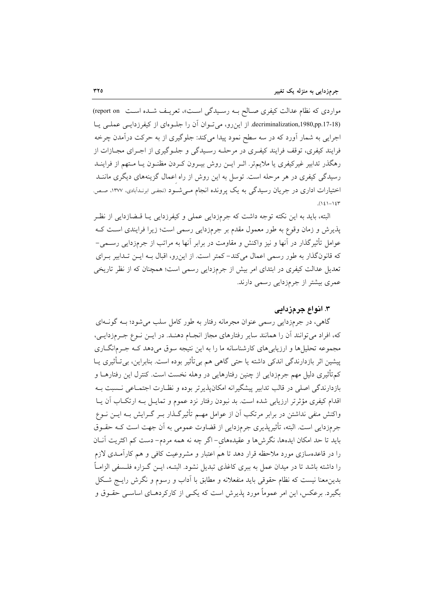مواردی که نظام عدالت کیفری صـالح بـه رسـیدگی اسـت»، تعریـف شـده اسـت (report on) decriminalization,1980,pp.17-18). از این رو، می توان آن را جلوهای از کیفرزدایی عملی یا اجرایی به شمار آورد که در سه سطح نمود پیدا میکند: جلوگیری از به حرکت درآمدن چرخه فرایند کیفری، توقف فرایند کیفـری در مرحلـه رسـیدگی و جلـوگیری از اجـرای مجـازات از رهگذر تدابیر غیرکیفری یا ملایمتر. اثـر ایــن روش بیــرون کــردن مظنــون یــا مــتهم از فراینــد رسیدگی کیفری در هر مرحله است. توسل به این روش از راه اعمال گزینههای دیگری ماننـد اختیارات اداری در جریان رسیدگی به یک پرونده انجام مـیشـود (نجفـی ابرنـدابادی، ۱۳۷۷، صـص.  $(121 - 124)$ 

البته، باید به این نکته توجه داشت که جرمزدایی عملی و کیفرزدایی یـا قــضازدایی از نظـر یذیرش و زمان وقوع به طور معمول مقدم بر جرمزدایی رسمی است؛ زیرا فرایندی است ک عوامل تأثیر گذار در اّنها و نیز واکنش و مقاومت در برابر اّنها به مراتب از جرمزدایی رســمی– که قانونگذار به طور رسمی اعمال میکند- کمتر است. از این رو، اقبال بـه ایـن تـدابیر بـرای تعدیل عدالت کیفری در ابتدای امر بیش از جرمزدایی رسمی است؛ همچنان که از نظر تاریخی عمری بیشتر از جرمزدایی رسمی دارند.

### ۳. انواع جرمزدائی

گاهی، در جرمزدایی رسمی عنوان مجرمانه رفتار به طور کامل سلب میشود؛ بـه گونــهای که، افراد میتوانند آن را همانند سایر رفتارهای مجاز انجـام دهنـد. در ایــن نــوع جــرمزدایــی، مجموعه تحلیلها و ارزیابیهای کارشناسانه ما را به این نتیجه سوق میدهد کـه جـرمانگــاری پیشین اثر بازدارندگی اندکی داشته یا حتی گاهی هم بی¤أثیر بوده است. بنابراین، بیتأثیری یــا کمتأثیری دلیل مهم جرمزدایی از چنین رفتارهایی در وهله نخست است. کنترل این رفتارهــا و بازدارندگی اصلی در قالب تدابیر پیشگیرانه امکان پذیر تر بوده و نظـارت اجتمــاعی نــسبت بــه اقدام کیفری مؤثرتر ارزیابی شده است. بد نبودن رفتار نزد عموم و تمایـل بـه ارتکـاب آن یــا واکنش منفی نداشتن در برابر مرتکب آن از عوامل مهــم تأثیرگـذار بــر گــرایش بــه ایــن نــوع جرمزدایی است. البته، تأثیرپذیری جرمزدایی از قضاوت عمومی به اَن جهت است کـه حقــوق بايد تا حد امكان ايدهها، نگرشها و عقيدههاي- اگر چه نه همه مردم- دست كم اكثريت آنــان را در قاعدهسازی مورد ملاحظه قرار دهد تا هم اعتبار و مشروعیت کافی و هم کارآمـدی لازم را داشته باشد تا در میدان عمل به ببری کاغذی تبدیل نشود. البتــه، ایــن گــزاره فلــسفی الزامــاً بدینِ معنا نیست که نظام حقوقی باید منفعلانه و مطابق با اَداب و رسوم و نگرش رایــج شـکل بگیرد. برعکس، این امر عموماً مورد پذیرش است که یکسی از کارکردهـای اساســی حقــوق و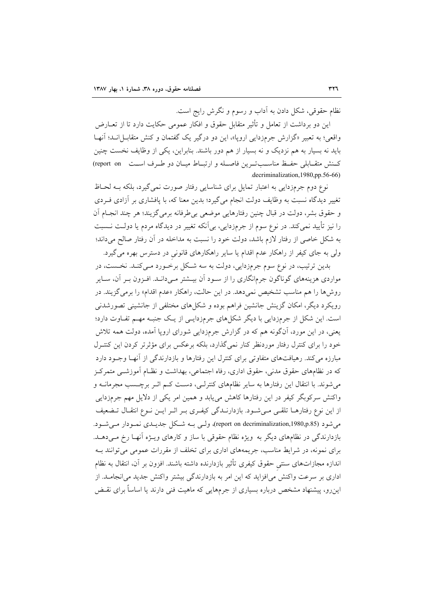نظام حقوقی، شکل دادن به اّداب و رسوم و نگرش رایج است.

این دو برداشت از تعامل و تأثیر متقابل حقوق و افکار عمومی حکایت دارد تا از تعــارض واقعی؛ به تعبیر «گزارش جرمزدایی اروپا»، این دو درگیر یک گفتمان و کنش متقابـل|نــد؛ آنهــا باید نه بسیار به هم نزدیک و نه بسیار از هم دور باشند. بنابراین، یکی از وظایف نخست چنین كسنش متقبابلي حفيظ مناسب تبرين فاصله و ارتبياط ميبان دو طبرف است \_ report\_on) .decriminalization, 1980, pp. 56-66)

نوع دوم جرمزدایی به اعتبار تمایل برای شناسایی رفتار صورت نمی گیرد، بلکه بـه لحـاظ تغییر دیدگاه نسبت به وظایف دولت انجام میگیرد؛ بدین معنا که، با پافشاری بر آزادی فــردی و حقوق بشر، دولت در قبال چنین رفتارهایی موضعی بی طرفانه برمی گزیند؛ هر چند انجـام آن را نيز تأييد نمي كند. در نوع سوم از جرمزدايي، بي اّنكه تغيير در ديدگاه مردم يا دولـت نــسبت به شکل خاصی از رفتار لازم باشد، دولت خود را نسبت به مداخله در آن رفتار صالح میداند؛ ولی به جای کیفر از راهکار عدم اقدام یا سایر راهکارهای قانونی در دسترس بهره می گیرد.

بدین ترتیب، در نوع سوم جرمزدایی، دولت به سه شکل برخـورد مـیکنـد. نخـست، در مواردی هزینههای گوناگون جرمانگاری را از سـود آن بیــشتر مـیدانــد. افـزون بـر آن، ســایر روشها را هم مناسب تشخیص نمیدهد. در این حالت، راهکار «عدم اقدام» را برمی گزیند. در رویکرد دیگر، امکان گزینش جانشین فراهم بوده و شکلهای مختلفی از جانشینی تصورشدنی است. این شکل از جرمزدایی با دیگر شکلهای جرمزدایی از یک جنبه مهم تفاوت دارد؛ یعنی، در این مورد، آنگونه هم که در گزارش جرمزدایی شورای اروپا آمده، دولت همه تلاش خود را برای کنترل رفتار موردنظر کنار نمیگذارد، بلکه برعکس برای مؤثرتر کردن این کنتـرل مبارزه می کند. رهیافتهای متفاوتی برای کنترل این رفتارها و بازدارندگی از آنهـا وجـود دارد که در نظامهای حقوق مدنی، حقوق اداری، رفاه اجتماعی، بهداشت و نظـام آموزشــی متمرکـز می شوند. با انتقال این رفتارها به سایر نظامهای کنترلـی، دسـت کـم اثـر برچـسب مجرمانــه و واکنش سرکوبگر کیفر در این رفتارها کاهش می یابد و همین امر یکی از دلایل مهم جرمزدایی از این نوع رفتارهـا تلقـی مـیشـود. بازدارنـدگی کیفـری بـر اثـر ایـن نـوع انتقـال تـضعیف می شود (report on decriminalization,1980,p.85)، ولسی بـه شکل جدیــدی نمـودار مــی شـود. بازدارندگی در نظامهای دیگر به ویژه نظام حقوقی با ساز و کارهای ویــژه اَنهــا رخ مــی۵هــد. برای نمونه، در شرایط مناسب، جریمههای اداری برای تخلف از مقررات عمومی می توانند بـه اندازه مجازاتهای سنتی حقوق کیفری تأثیر بازدارنده داشته باشند. افزون بر آن، انتقال به نظام اداری بر سرعت واکنش می|فزاید که این امر به بازدارندگی بیشتر واکنش جدید می|نجامــد. از این٫و، پیشنهاد مشخص درباره بسیاری از جرمهایی که ماهیت فنی دارند یا اساساً برای نقـض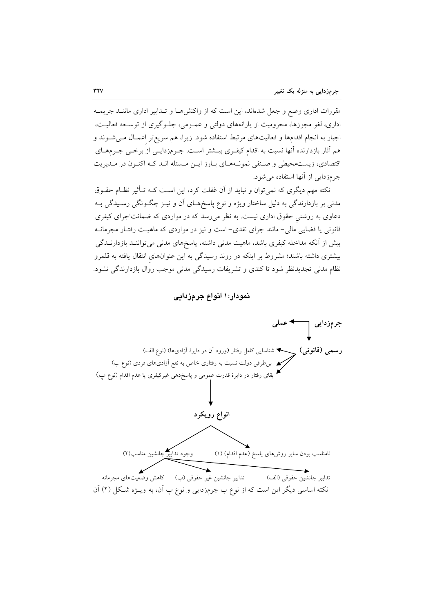مقررات اداری وضع و جعل شدهاند، این است که از واکنشها و تـدابیر اداری ماننـد جریمـه اداری، لغو مجوزها، محرومیت از پارانههای دولتی و عمـومی، جلـوگیری از توسـعه فعالیـت، اجبار به انجام اقدامها و فعالیتهای مرتبط استفاده شود. زیرا، هم سریع تر اعمـال مـیشـوند و هم آثار بازدارنده آنها نسبت به اقدام کیفـری بیــشتر اســت. جــرمزدایــی از برخــی جــرمهــای اقتصادی، زیستمحیطی و صنفی نمونـههـای بـارز ایـن مـسئله انـد کـه اکنـون در مـدیریت جر مزدایی از آنها استفاده می شود.

نکته مهم دیگری که نمیٍتوان و نباید از آن غفلت کرد، این اسـت کـه تـأثیر نظـام حقـوق مدنی بر بازدارندگی به دلیل ساختار ویژه و نوع پاسخهـای آن و نیــز چگــونگی رســیدگی بــه دعاوی به روشنی حقوق اداری نیست. به نظر میرسد که در مواردی که ضمانتاجرای کیفری قانونی یا قضایی مالی– مانند جزای نقدی– است و نیز در مواردی که ماهیـت رفتـار مجرمانــه پیش از آنکه مداخله کیفری باشد، ماهیت مدنی داشته، پاسخهای مدنی می تواننـد بازدارنــدگی بیشتری داشته باشند؛ مشروط بر اینکه در روند رسیدگی به این عنوانهای انتقال یافته به قلمرو نظام مدنی تجدیدنظر شود تا کندی و تشریفات رسیدگی مدنی موجب زوال بازدارندگی نشود.

نمودار: ۱ انواع جرمزدایی

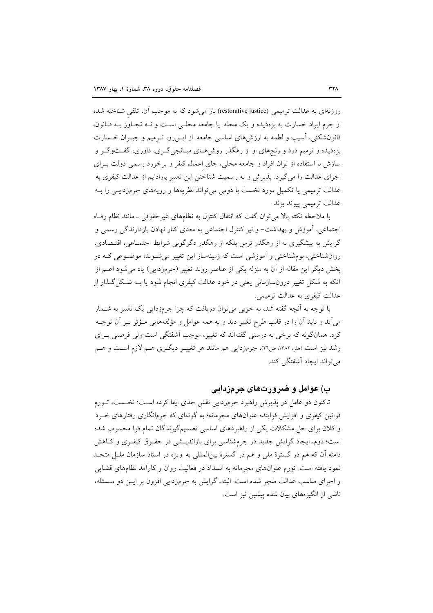روزنهای به عدالت ترمیمی (restorative justice) باز می شود که به موجب آن، تلقی شناخته شده از جرم ایراد خسارت به بزهدیده و یک محله یا جامعه محلبی است و نـه تجـاوز بـه قـانون، قانونشکنی، آسیب و لطمه به ارزش های اساسی جامعه. از ایـن٫و، تـرمیم و جبـران خـسارت بزهدیده و ترمیم درد و رنجهای او از رهگذر روشهـای میـانجیگـری، داوری، گفـتوگـو و سازش با استفاده از توان افراد و جامعه محلی، جای اعمال کیفر و برخورد رسمی دولت بـرای اجرای عدالت را میگیرد. پذیرش و به رسمیت شناختن این تغییر پارادایم از عدالت کیفری به عدالت ترمیمی یا تکمیل مورد نخست با دومی می تواند نظریهها و رویههای جرمزدایـبی را بــه عدالت ترميمي پيوند بزند.

با ملاحظه نکته بالا می توان گفت که انتقال کنترل به نظامهای غیرحقوقی ـ مانند نظام رفاه اجتماعي، آموزش و بهداشت– و نيز كنترل اجتماعي به معناي كنار نهادن بازدارندگي رسمي و گرایش به پیشگیری نه از رهگذر ترس بلکه از رهگذر دگرگونی شرایط اجتمـاعی، اقتـصادی، روانشناختی، بومشناختی و اَموزشی است که زمینهساز این تغییر میشـوند؛ موضـوعی کـه در بخش دیگر این مقاله از آن به منزله یکی از عناصر روند تغییر (جرمزدایی) یاد می شود اعــم از اّنکه به شکل تغییر درونٍسازمانی یعنی در خود عدالت کیفری انجام شود یا بــه شـکل گــذار از عدالت کیفری به عدالت ترمیمی.

با توجه به آنچه گفته شد، به خوبی می توان دریافت که چرا جرمزدایی یک تغییر به شــمار مي]يد و بايد آن را در قالب طرح تغيير ديد و به همه عوامل و مؤلفههايي مــؤثر بــر آن توجــه کرد. همانگونه که برخی به درستی گفتهاند که تغییر، موجب آشفتگی است ولی فرصتی بـرای رشد نیز است (ملر، ۱۳۸۲، ص۲۱)، جرمزدایی هم مانند هر تغییـر دیگـری هـم لازم اسـت و هـم می تواند ایجاد آشفتگی کند.

# ب) عوامل و ضرورتهای جرمزدایی

تاکنون دو عامل در پذیرش راهبرد جرمزدایی نقش جدی ایفا کرده است: نخست، تبورم قوانین کیفری و افزایش فزاینده عنوانهای مجرمانه؛ به گونهای که جرمانگاری رفتارهای خـرد و کلان برای حل مشکلات یکی از راهبردهای اساسی تصمیمگیرندگان تمام قوا محسوب شده است؛ دوم، ایجاد گرایش جدید در جرمشناسی برای بازاندیشی در حقـوق کیفـری و کـاهش دامنه اّن که هم در گسترهٔ ملّی و هم در گسترهٔ بین(لمللی به ویژه در اسناد سازمان ملــل متحـل نمود یافته است. تورم عنوانهای مجرمانه به انسداد در فعالیت روان و کارآمد نظامهای قضایی و اجرای مناسب عدالت منجر شده است. البته، گرایش به جرمزدایی افزون بر ایــن دو مــسئله، ناشی از انگیزههای بیان شده پیشین نیز است.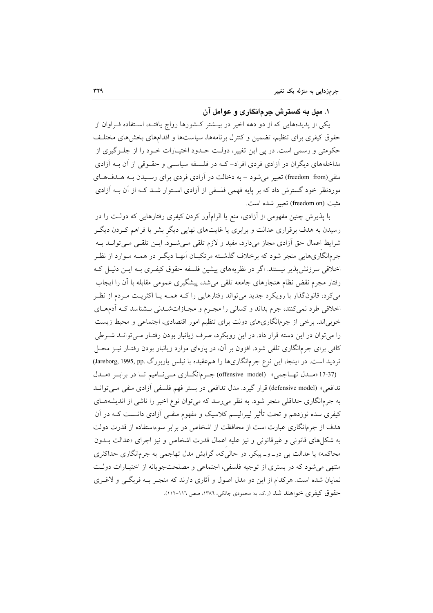#### ۱. مىل به گسترش جرمانگارى و عوامل آن

یکی از پدیدههایی که از دو دهه اخیر در بیــشتر کــشورها رواج یافتــه، اسـتفاده فــراوان از حقوق کیفری برای تنظیم، تضمین و کنترل برنامهها، سیاستها و اقدامهای بخشهای مختلـف حکومتی و رسمی است. در پی این تغییر، دولت حـدود اختیـارات خـود را از جلـوگیری از مداخلههای دیگران در آزادی فردی افراد-کـه در فلـسفه سیاسـی و حقـوقی از آن بــه آزادی منفي(freedom from) تعبير مي شود – به دخالت در آزادي فردي براي رسيدن بـه هـدفهـاي موردنظر خود گسترش داد که بر پایه فهمی فلسفی از آزادی استوار شـد کـه از آن بـه آزادی مثبت (freedom on) تعبير شده است.

با پذیرش چنین مفهومی از آزادی، منع یا الزامآور کردن کیفری رفتارهایی که دولـت را در رسیدن به هدف برقراری عدالت و برابری یا غایتهای نهایی دیگر بشر یا فراهم کـردن دیگـر شرايط اعمال حق أزادي مجاز ميدارد، مفيد و لازم تلقى مـي شـود. ايــن تلقــي مـي توانــد بــه جرمانگاریهایی منجر شود که برخلاف گذشته مرتکبـان آنهـا دیگـر در همـه مـوارد از نظـر اخلاقی سرزنش پذیر نیستند. اگر در نظریههای پیشین فلسفه حقوق کیفـری بـه ایـن دلیـل کـه رفتار مجرم نقض نظام هنجارهای جامعه تلقی می شد، پیشگیری عمومی مقابله با آن را ایجاب می کرد، قانونگذار با رویکرد جدید می تواند رفتارهایی را کـه همـه یـا اکثریـت مـردم از نظـر اخلاقی طرد نمی کنند، جرم بداند و کسانی را مجـرم و مجـازاتشـدنی بـشناسد کـه آدمهـای خوبیاند. برخی از جرمانگاریهای دولت برای تنظیم امور اقتصادی، اجتماعی و محیط زیست را می توان در این دسته قرار داد. در این رویکرد، صرف زیانبار بودن رفتـار مـیتوانــد شــرطی کافی برای جرمانگاری تلقی شود. افزون بر آن، در پارهای موارد زیانبار بودن رفتـار نیــز محــل تردید است. در اینجا، این نوع جرمانگاریها را هم عقیده با نیلس یاربورگ .Jareborg, 1995, pp) (17-37 «مـدل تهـاجمي» (offensive model) جـرم انگــاري مــي نــاميم تــا در برابـر «مــدل

تدافعی» (defensive model) قرار گیرد. مدل تدافعی در بستر فهم فلسفی اَزادی منفی مــیتوانــد به جرمانگاری حداقلی منجر شود. به نظر میرسد که میتوان نوع اخیر را ناشی از اندیشههای کیفری سده نوزدهم و تحت تأثیر لیبرالیسم کلاسیک و مفهوم منفـی آزادی دانــست کــه در آن هدف از جرمانگاری عبارت است از محافظت از اشخاص در برابر سوءاستفاده از قدرت دولت به شکلهای قانونی و غیرقانونی و نیز علیه اعمال قدرت اشخاص و نیز اجرای «عدالت بـدون محاکمه» یا عدالت بی در\_و\_ پیکر. در حالی که، گرایش مدل تهاجمی به جرمانگاری حداکثری منتهی می شود که در بستری از توجیه فلسفی، اجتماعی و مصلحتجویانه از اختیـارات دولـت نمایان شده است. هرکدام از این دو مدل اصول و آثاری دارند که منجـر بـه فربگـی و لاغـری حقوق کیفری خواهند شد (ر.ک. به: محمودی جانکی، ۱۳۸٦، صص ۱۱۶-۱۱۲).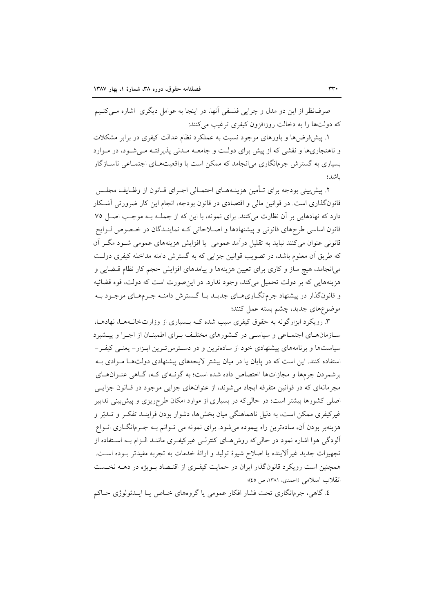صرفنظر از این دو مدل و چراپی فلسفی آنها، در اینجا به عوامل دیگری ِ اشاره مبی کنیم که دولتها را به دخالت روزافزون کیفری ترغیب می کنند:

۱. پیشفررضها و باورهای موجود نسبت به عملکرد نظام عدالت کیفری در برابر مشکلات و ناهنجاریها و نقشی که از پیش برای دولت و جامعـه مـدنی پذیرفتـه مـیشـود، در مـوارد بسیاری به گسترش جرمانگاری می|نجامد که ممکن است با واقعیتهـای اجتمـاعی ناســازگار باشد؛

٢. پیش بینی بودجه برای تـأمین هزینـههـای احتمـالی اجـرای قـانون از وظـایف مجلـس قانونگذاری است. در قوانین مالی و اقتصادی در قانون بودجه، انجام این کار ضرورتی آشـکار دارد که نهادهایی بر آن نظارت میکنند. برای نمونه، با این که از جملـه بـه موجـب اصـل ۷۵ قانون اساسی طرحهای قانونی و پیشنهادها و اصلاحاتی کـه نماینــدگان در خـصوص لــوایح قانونی عنوان می کنند نباید به تقلیل درآمد عمومی یا افزایش هزینههای عمومی شـود مگـر آن که طریق أن معلوم باشد، در تصویب قوانین جزایی که به گسترش دامنه مداخله کیفری دولت می|نجامد، هیچ ساز و کاری برای تعیین هزینهها و پیامدهای افزایش حجم کار نظام قبضایی و هزینههایی که بر دولت تحمیل میکند، وجود ندارد. در این صورت است که دولت، قوه قضائیه و قانونگذار در پیشنهاد جرمانگــاریهــای جدیــد یــا گــسترش دامنــه جــرمهــای موجــود بــه موضوعهای جدید، چشم بسته عمل کنند؛

۳. رویکرد ابزارگونه به حقوق کیفری سبب شده کـه بـسیاری از وزارتخانـههـا، نهادهـا، سـازمانهـای اجتمـاعی و سیاسـی در کـشورهای مختلـف بـرای اطمینـان از اجـرا و پیـشبرد سیاستها و برنامههای پیشنهادی خود از سادهترین و در دسترس تـرین ابـزار- یعنـی کیفـر-استفاده کنند. این است که در پایان یا در میان بیشتر لایحههای پیشنهادی دولتها موادی بـه برشمردن جرمها و مجازاتها اختصاص داده شده است؛ به گونـهای کـه، گـاهی عنـوانهـای مجرمانهای که در قوانین متفرقه ایجاد می شوند، از عنوانهای جزایی موجود در قـانون جزایـی اصلی کشورها بیشتر است؛ در حالیکه در بسیاری از موارد امکان طرحریزی و پیش بینی تدابیر غیرکیفری ممکن است، به دلیل ناهماهنگی میان بخشها، دشوار بودن فراینـد تفکـر و تـدبّر و هزينهبر بودن آن، سادهترين راه پيموده مي شود. براي نمونه مي تـوانم بــه جـرمانگــاري انــواع آلودگی هوا اشاره نمود در حالی که روش هـای کنترلـی غیرکیفـری ماننــد الـزام بــه اســتفاده از تجهیزات جدید غیراًلاینده یا اصلاح شیوهٔ تولید و ارائهٔ خدمات به تجربه مفیدتر بــوده اســت. همچنین است رویکرد قانونگذار ایران در حمایت کیفری از اقتـصاد بـویژه در دهــه نخـست انقلاب اسلامی (احمدی، ۱۳۸۱، ص ٤٥)؛

٤. گاهي، جرمانگاري تحت فشار افكار عمومي يا گروههاي خــاص يــا ايــدئولوژي حــاكم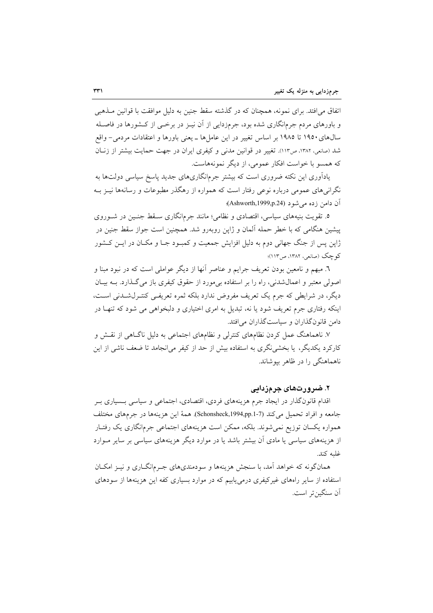اتفاق می افتد. برای نمونه، همچنان که در گذشته سقط جنین به دلیل موافقت با قوانین مــذهبی و باورهای مردم جرمانگاری شده بود، جرمزدایی از آن نیبز در برخبی از کـشورها در فاصـله سال های ۱۹۵۰ تا ۱۹۸۵ بر اساس تغییر در این عامل ها ـ یعنی باورها و اعتقادات مردمی- واقع شد (صانعی، ۱۳۸۲، ص١١٣). تغییر در قوانین مدنی و کیفری ایران در جهت حمایت بیشتر از زنبان كه همسو با خواست افكار عمومي، از ديگر نمونههاست.

یادآوری این نکته ضروری است که بیشتر جرمانگاریهای جدید پاسخ سیاسی دولتها به نگرانی های عمومی درباره نوعی رفتار است که همواره از رهگذر مطبوعات و رسانهها نیــز بــه آن دامن زده می شود (Ashworth,1999,p.24)؛

۵. تقویت بنیههای سیاسی، اقتصادی و نظامی؛ مانند جرمانگاری سـقط جنـین در شــوروی پیشین هنگامی که با خطر حمله آلمان و ژاپن روبهرو شد. همچنین است جواز سقط جنین در ژاپن پس از جنگ جهانی دوم به دلیل افزایش جمعیت و کمبـود جـا و مکــان در ایــن کــشور کو چک (صانعی، ۱۳۸۲، ص۱۱۳)؛

٦. مبهم و نامعین بودن تعریف جرایم و عناصر آنها از دیگر عواملی است که در نبود مبنا و اصولی معتبر و اعمال شدنی، راه را بر استفاده بی مورد از حقوق کیفری باز می گذارد. بـه بیـان دیگر، در شرایطی که جرم یک تعریف مفروض ندارد بلکه ثمره تعریفـی کنتـرلشـدنی اسـت، اینکه رفتاری جرم تعریف شود یا نه، تبدیل به امری اختیاری و دلبخواهی می شود که تنهـا در دامن قانون گذاران و سیاست گذاران می افتد.

۷. ناهماهنگ عمل کردن نظامهای کنترلی و نظامهای اجتماعی به دلیل ناگــاهی از نقــش و کارکرد یکدیگر، یا بخشی نگری به استفاده بیش از حد از کیفر می|نجامد تا ضعف ناشی از این ناهماهنگی را در ظاهر بیوشاند.

### ۲. ضرورتهای جرمزدایی

اقدام قانونگذار در ایجاد جرم هزینههای فردی، اقتصادی، اجتماعی و سیاسی بـسیاری بـر جامعه و افراد تحميل مي كند (Schonsheck,1994,pp.1-7). همهٔ اين هزينهها در جرمهاي مختلف همواره یکسان توزیع نمیشوند. بلکه، ممکن است هزینههای اجتماعی جرمانگاری یک رفتـار از هزینههای سیاسی یا مادی آن بیشتر باشد یا در موارد دیگر هزینههای سیاسی بر سایر مـوارد غلبه كند.

همانگونه که خواهد آمد، با سنجش هزینهها و سودمندیهای جـرمانگــاری و نیــز امکــان استفاده از سایر راههای غیرکیفری درمی یابیم که در موارد بسیاری کفه این هزینهها از سودهای آن سنگين تي است.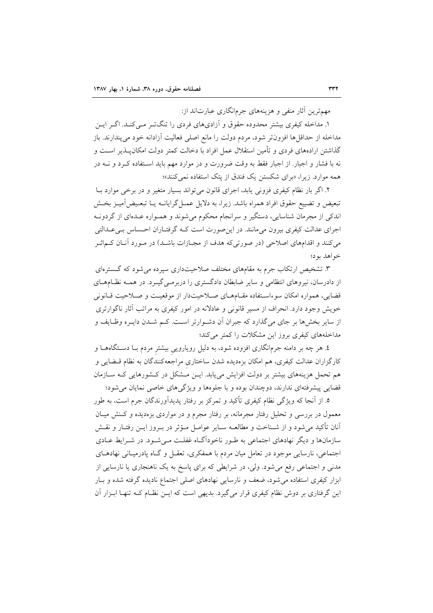مهم ترین آثار منفی و هزینههای جرمانگاری عبارتاند از:

۱. مداخله کیفری بیشتر محدوده حقوق و آزادیهای فردی را تنگ تیر می کنید. اگیر ایین مداخله از حداقلها افزون تر شود، مردم دولت را مانع اصلی فعالیت آزادانه خود میپندارند. باز گذاشتن ارادههای فردی و تأمین استقلال عمل افراد با دخالت کمتر دولت امکانپــذیر اســت و نه با فشار و اجبار. از اجبار فقط به وقت ضرورت و در موارد مهم باید اسـتفاده کـرد و نــه در همه موارد. زیرا، «برای شکستن یک فندق از یتک استفاده نمی کنند»؛

۲. اگر بار نظام کیفری فزونی پابد، اجرای قانون می تواند بسیار متغیر و در برخی موارد بـا تبعیض و تضییع حقوق افراد همراه باشد. زیرا، به دلایل عمـل گرایانــه یــا تبعـیض]میــز بخــش اندکی از مجرمان شناسایی، دستگیر و سرانجام محکوم میشوند و همـواره عـدهای از گردونـه اجرای عدالت کیفری بیرون میمانند. در این صورت است کـه گرفتـاران احـساس بـی،عـدالتی می کنند و اقدامهای اصلاحی (در صورتی که هدف از مجــازات باشــد) در مــورد آنــان کــماثــر خواهد بود؛

۳. تشخیص ارتکاب جرم به مقامهای مختلف صلاحیتداری سیرده می شود که گسترهای از دادرسان، نیروهای انتظامی و سایر ضابطان دادگستری را دربرمـیEگیـرد. در همـه نظـامهـای قضایی، همواره امکان سوءاستفاده مقـامهـای صـلاحیتدار از موقعیـت و صـلاحیت قـانونی خویش وجود دارد. انحراف از مسیر قانونی و عادلانه در امور کیفری به مراتب آثار ناگوارتری از سایر بخشها بر جای میگذارد که جبران آن دشـوارتر اسـت. کـم شـدن دایـره وظـایف و مداخلههای کیفری بروز این مشکلات را کمتر میکند؛

٤. هر چه بر دامنه جرمانگاری افزوده شود، به دلیل رویارویی بیشتر مردم بــا دســتگاههــا و کارگزاران عدالت کیفری، هم امکان بزهدیده شدن ساختاری مراجعهکنندگان به نظام قــضایی و هم تحمل هزینههای بیشتر بر دولت افزایش می یابد. ایـن مـشکل در کـشورهایی کـه سـازمان قضایی پیشرفتهای ندارند، دوچندان بوده و با جلوهها و ویژگیهای خاصی نمایان می شود؛

٥. از آنجا که ویژگی نظام کیفری تأکید و تمرکز بر رفتار پدیدآورندگان جرم است، به طور معمول در بررسی و تحلیل رفتار مجرمانه، بر رفتار مجرم و در مواردی بزهدیده و کـنش میـان آنان تأکید می شود و از شـناخت و مطالعــه سـایر عوامـل مـؤثر در بــروز ایــن رفتــار و نقــش سازمانها و دیگر نهادهای اجتماعی به طـور ناخودآگـاه غفلـت مـی شـود. در شـرایط عــادی اجتماعی، نارسایی موجود در تعامل میان مردم با همفکری، تعقـل و گـاه پادرمیـانی نهادهـای مدنی و اجتماعی رفع میشود. ولی، در شرایطی که برای پاسخ به یک ناهنجاری یا نارسایی از ابزار کیفری استفاده می شود، ضعف و نارسایی نهادهای اصلی اجتماع نادیده گرفته شده و بـار این گرفتاری بر دوش نظام کیفری قرار میگیرد. بدیهی است که ایـن نظـام کــه تنهـا ابـزار آن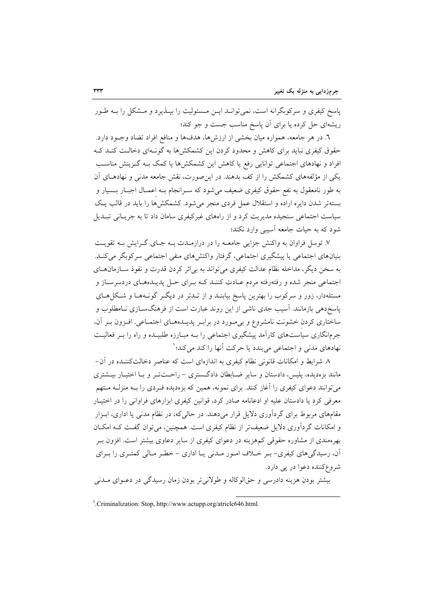پاسخ کیفری و سرکوبگرانه است، نمی توانـد ایــن مـسئولیت را بیــذیرد و مــشکل را بــه طــور ریشهای حل کرده یا برای آن پاسخ مناسب جست و جو کند؛

٦. در هر جامعه، همواره ميان بخشي از ارزش۵ا، هدفها و منافع افراد تضاد وجـود دارد. حقوق کیفری نباید برای کاهش و محدود کردن این کشمکشها به گونـهای دخالـت کنـد کـه افراد و نهادهای اجتماعی توانایی رفع یا کاهش این کشمکشها یا کمک بــه گــزینش مناسـب یکی از مؤلفههای کشمکش را از کف بدهند. در این صورت، نقش جامعه مدنی و نهادهـای آن به طور نامعقول به نفع حقوق کیفری ضعیف می شود که سـرانجام بـه اعمـال اجبـار بــسیار و بستهتر شدن دایره اراده و استقلال عمل فردی منجر میشود. کشمکشها را باید در قالب یک سیاست اجتماعی سنجیده مدیریت کرد و از راههای غیرکیفری سامان داد تا به جریـانی تبـدیل شود که به حیات جامعه آسیبی وارد نکند؛

۷. توسل فراوان به واکنش جزایی جامعــه را در درازمــدت بــه جــای گــرایش بــه تقویــت بنیانهای اجتماعی یا پیشگیری اجتماعی، گرفتار واکنشهای منفی اجتماعی سرکوبگر می کنـد. به سخن دیگر، مداخله نظام عدالت کیفری می تواند به بی اثر کردن قدرت و نفوذ سـازمانهــای اجتماعي منجر شده و رفتهرفته مردم عـادت كننـد كـه بـراي حـل پديـدههـاي دردسرسـاز و مسئلهدار، زور و سرکوب را بهترین پاسخ بیابنــد و از تــدبّر در دیگــر گونــههــا و شــکلهــای پاسخدهی بازمانند. آسیب جدی ناشی از این روند عبارت است از فرهنگ $\mathcal{Z}$ سازی نـامطلوب و ساختاري كردن خشونت نامشروع و بي مورد در برابر پديـدههـاي اجتمـاعي. افـزون بـر آن، جرمانگاری سیاستهای کارآمد پیشگیری اجتماعی را بـه مبـارزه طلبیــده و راه را بـر فعالیـت نهادهای مدنی و اجتماعی میبندد یا حرکت آنها را کند میکند؛ ٰ

۸ شرایط و امکانات قانونی نظام کیفری به اندازهای است که عناصر دخالتکننـده در آن− مانند بزهدیده، پلیس، دادستان و سایر ضـابطان دادگـستری – راحـتتـر و بـا اختیـار بیــشتری می توانند دعوای کیفری را آغاز کنند. برای نمونه، همین که بزهدیده فـردی را بــه منزلــه مــتهم معرفی کرد یا دادستان علیه او ادعانامه صادر کرد، قوانین کیفری ابزارهای فراوانی را در اختیـار مقامهای مربوط برای گردآوری دلایل قرار میدهند. در حالی که، در نظام مدنی یا اداری، ابـزار و امکانات گردآوری دلایل ضعیفتر از نظام کیفری است. همچنین، می توان گفت کـه امکـان بهر ممندی از مشاوره حقوقی کمهزینه در دعوای کیفری از سایر دعاوی بیشتر است. افزون بـر اّن، رسیدگیهای کیفری- بـر خـلاف امـور مـدنی یـا اداری - خطـر مـالی کمتـری را بـرای شروع کننده دعوا در یی دارد.

بیشتر بودن هزینه دادرسی و حقالوکاله و طولانی تر بودن زمان رسیدگی در دعوای مـدنی

<sup>&</sup>lt;sup>1</sup>. Criminalization: Stop, http://www.actupp.org/atricle646.html.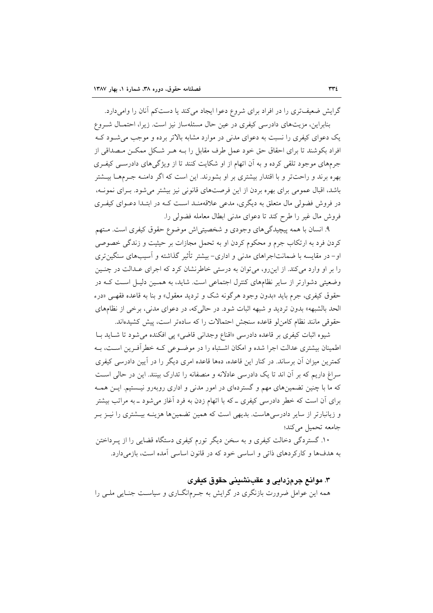گرایش ضعیفتری را در افراد برای شروع دعوا ایجاد می کند یا دستکم آنان را وامیدارد. بنابراین، مزیتهای دادرسی کیفری در عین حال مسئلهساز نیز است. زیرا، احتمـال شـروع یک دعوای کیفری را نسبت به دعوای مدنی در موارد مشابه بالاتر برده و موجب می شـود کـه افراد بکوشند تا برای احقاق حق خود عمل طرف مقابل را بـه هـر شـکل ممکـن مـصداقی از جرمهای موجود تلقی کرده و به آن اتهام از او شکایت کنند تا از ویژگیهای دادرسـی کیفـری بهره برند و راحتتر و با اقتدار بیشتری بر او بشورند. این است که اگر دامنـه جـرمهــا بیــشتر باشد، اقبال عمومی برای بهره بردن از این فرصتهای قانونی نیز بیشتر می شود. بـرای نمونـه، در فروش فضولی مال متعلق به دیگری، مدعی علاقهمنـد اسـت کـه در ابتـدا دعــوای کیفـری فروش مال غیر را طرح کند تا دعوای مدنی ابطال معامله فضولی را.

۹. انسان با همه پیچیدگی های وجودی و شخصیتی اش موضوع حقوق کیفری است. مـتهم کردن فرد به ارتکاب جرم و محکوم کردن او به تحمل مجازات بر حیثیت و زندگی خصوصی او– در مقایسه با ضمانتاجراهای مدنی و اداری– بیشتر تأثیر گذاشته و آسیبهای سنگین تری را بر او وارد میکند. از این رو، می توان به درستی خاطرنشان کرد که اجرای عـدالت در چنـین وضعیتی دشوارتر از سایر نظامهای کنترل اجتماعی است. شاید، به همـین دلیـل اسـت کـه در حقوق کيفري، جرم بايد «بدون وجود هرگونه شک و ترديد معقول» و بنا به قاعده فقهـي «درء الحد بالشبهه» بدون تردید و شبهه اثبات شود. در حالی که، در دعوای مدنی، برخی از نظامهای حقوقی مانند نظام کامن لو قاعده سنجش احتمالات را که سادهتر است، پیش کشیدهاند.

شيوه اثبات كيفري بر قاعده دادرسي «اقناع وجداني قاضي» يي افكنده مي شود تا شبايد بـا اطمینان بیشتری عدالت اجرا شده و امکان اشـتباه را در موضـوعی کـه خطرآفـرین اسـت، بـه کمترین میزان آن برساند. در کنار این قاعده، دهها قاعده امری دیگر را در آیین دادرسی کیفری سراغ داریم که بر آن اند تا یک دادرسی عادلانه و منصفانه را تدارک بینند. این در حالی است که ما با چنین تضمینهای مهم و گستردهای در امور مدنی و اداری روبهرو نیستیم. ایــن همــه برای اَن است که خطر دادرسی کیفری ــ که با اتهام زدن به فرد اَغاز می شود ــ به مراتب بیشتر و زیانبارتر از سایر دادرسی هاست. بدیهی است که همین تضمینها هزینـه بیـشتری را نیــز بــر جامعه تحميل مي كند؛

۱۰. گستردگی دخالت کیفری و به سخن دیگر تورم کیفری دستگاه قضایی را از پـرداختن به هدفها و کارکردهای ذاتی و اساسی خود که در قانون اساسی آمده است، بازمیدارد.

# ۳. موانع جرمزدایی و عقبنشینی حقوق کیفری

همه این عوامل ضرورت بازنگری در گرایش به جـرمانگــاری و سیاســت جنــایی ملــی را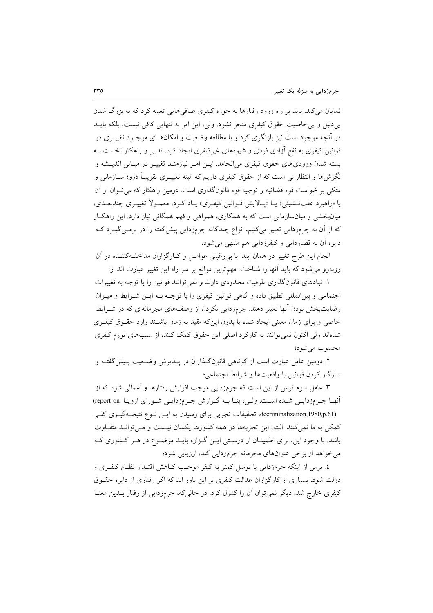نمایان می کند. باید بر راه ورود رفتارها به حوزه کیفری صافی هایی تعبیه کرد که به بزرگ شدن بے دلیل و پی خاصیت حقوق کیفری منجر نشود. ولی، این امر به تنهایی کافی نیست، بلکه بایــد در آنچه موجود است نیز بازنگری کرد و با مطالعه وضعیت و امکانهـای موجـود تغییــری در قوانین کیفری به نفع آزادی فردی و شیوههای غیرکیفری ایجاد کرد. تدبیر و راهکار نخست بـه بسته شدن ورودیهای حقوق کیفری می انجامد. ایـن امـر نیازمنـد تغییـر در مبـانی اندیـشه و نگرش۵ا و انتظاراتی است که از حقوق کیفری داریم که البته تغییــری تقریبــاً درون ســازمانی و متکي بر خواست قوه قضائيه و توجيه قوه قانونگذاري است. دومين راهکار که مي تـوان از آن با «راهبرد عقبنــشینی» یــا «پــالایش قــوانین کیفـری» پــاد کـرد، معمــولاً تغییـری چندبعــدی، میانبخشی و میانسازمانی است که به همکاری، همراهی و فهم همگانی نیاز دارد. این راهکـار که از آن به جرمزدایی تعبیر میکنیم، انواع چندگانه جرمزدایی پیشگفته را در برمـی گیــرد کــه دایره آن به قضازدایی و کیفرزدایی هم منتهی می شود.

انجام این طرح تغییر در همان ابتدا با بی رغبتی عوامـل و کـارگزاران مداخلـهکننـده در آن روبهرو میشود که باید آنها را شناخت. مهمترین موانع بر سر راه این تغییر عبارت اند از:

۱. نهادهای قانونگذاری ظرفیت محدودی دارند و نمی توانند قوانین را با توجه به تغییرات اجتماعی و بین المللی تطبیق داده و گاهی قوانین کیفری را با توجـه بـه ایـن شـرایط و میـزان رضایتبخش بودن انها تغییر دهند. جرمزدایی نکردن از وصفهای مجرمانهای که در شـرایط خاصی و برای زمان معینی ایجاد شده یا بدون اینکه مقید به زمان باشـند وارد حقـوق کیفـری شدهاند ولي اکنون نمي توانند به کارکرد اصلي اين حقوق کمک کنند، از سببهاي تورم کيفري محسوب مي شود؛

۲. دومین عامل عبارت است از کوتاهی قانونگذاران در پـذیرش وضـعیت پـیشگفتـه و سازگار كردن قوانين با واقعيتها و شرايط اجتماعي؛

۳. عامل سوم ترس از این است که جرمزدایی موجب افزایش رفتارها و اَعمالی شود که از آنها جرمزدایی شده است. ولی، بنا بـه گـزارش جـرمزدایـی شـورای اروپـا report on) decriminalization,1980,p.61) تحقیقات تجربی برای رسیدن به ایسن نوع نتیجـهگیـری کلـی کمکی به ما نمی کنند. البته، این تجربهها در همه کشورها یکسان نیست و مبی توانید متفیاوت باشد. با وجود این، برای اطمینــان از درسـتی ایــن گــزاره بایــد موضــوع در هــر کــشوری کــه می خواهد از برخی عنوانهای مجرمانه جرمزدایی کند، ارزیابی شود؛

٤. ترس از اينكه جرمزدايي يا توسل كمتر به كيفر موجب كــاهش اقتــدار نظــام كيفــرى و دولت شود. بسیاری از کارگزاران عدالت کیفری بر این باور اند که اگر رفتاری از دایره حقــوق کیفری خارج شد، دیگر نمی توان آن را کنترل کرد. در حالی که، جرمزدایی از رفتار بـدین معنــا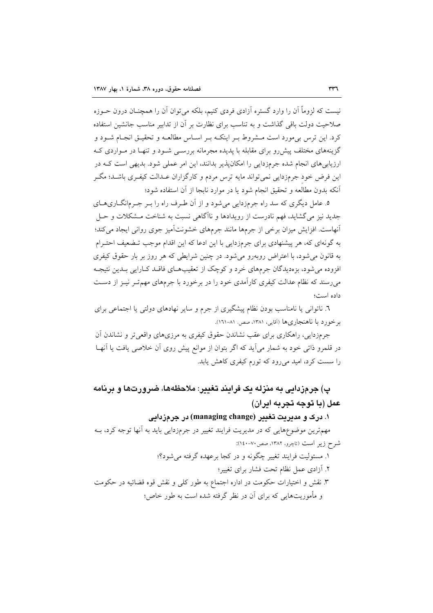نیست که لزوماً آن را وارد گستره آزادی فردی کنیم، بلکه می توان آن را همچنــان درون حــوزه صلاحیت دولت باقی گذاشت و به تناسب برای نظارت بر آن از تدابیر مناسب جانشین استفاده کرد. این ترس بی مورد است مــشروط بــر اینکــه بــر اســاس مطالعــه و تحقیــق انجــام شــود و گزینههای مختلف پیش رو برای مقابله با پدیده مجرمانه بررسـی شـود و تنهـا در مـواردی کـه ارزیابیهای انجام شده جرمزدایی را امکانپذیر بدانند، این امر عملی شود. بدیهی است کـه در این فرض خود جرمزدایی نمی تواند مایه ترس مردم و کارگزاران عـدالت کیفـری باشـد؛ مگـر أنكه بدون مطالعه و تحقيق انجام شود يا در موارد نابجا از آن استفاده شود؛

۵. عامل دیگری که سد راه جرمزدایی میشود و از آن طـرف راه را بــر جــرمانگــاریهــای جدید نیز میگشاید، فهم نادرست از رویدادها و ناآگاهی نسبت به شناخت مشکلات و حل آنهاست. افزایش میزان برخی از جرمها مانند جرمهای خشونتآمیز جوی روانی ایجاد می کند؛ به گونهای که، هر پیشنهادی برای جرمزدایی با این ادعا که این اقدام موجب تـضعیف احتـرام به قانون می شود، با اعتراض روبهرو می شود. در چنین شرایطی که هر روز بر بار حقوق کیفری افزوده می شود، بزهدیدگان جرمهای خرد و کوچک از تعقیبهای فاقـد کـارایی بـدین نتیجـه میرسند که نظام عدالت کیفری کارآمدی خود را در برخورد با جرمهای مهم تـر نیــز از دســت داده است؛

٦. ناتوانی یا نامناسب بودن نظام پیشگیری از جرم و سایر نهادهای دولتی یا اجتماعی برای برخورد با ناهنجاريها (آقايي، ١٣٨١، صص ١٨١-١٦١).

جرمزدایی، راهکاری برای عقب نشاندن حقوق کیفری به مرزیهای واقعی تر و نشاندن آن در قلمرو ذاتی خود به شمار میآید که اگر بتوان از موانع پیش روی آن خلاصی یافت یا آنهـا را سست کرد، امید میرود که تورم کیفری کاهش یابد.

# پ) جرمزدایی به منزله یک فرایند تغییر: ملاحظهها، ضرورتها و برنامه عمل (با توجه تجربه ابران)

۱. درک و مدیریت تغییر (managing change) در جرمزدایی مهمترین موضوعهایی که در مدیریت فرایند تغییر در جرمزدایی باید به آنها توجه کرد، بـه شرح زير است (تاچرو، ١٣٨٢، صص٢٠-١٤٠): ۱. مسئولیت فرایند تغییر چگونه و در کجا برعهده گرفته می شود؟؛ ٢. آزادي عمل نظام تحت فشار براي تغيير؛ ۳. نقش و اختیارات حکومت در اداره اجتماع به طور کلی و نقش قوه قضائیه در حکومت و مأموریتهایی که برای آن در نظر گرفته شده است به طور خاص؛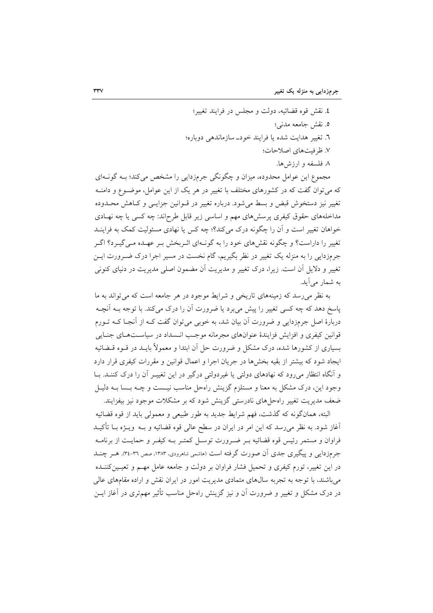٤. نقش قوه قضائيه، دولت و مجلس در فرايند تغيير؛ ٥. نقش جامعه مدني؛ ٦. تغییر هدایت شده یا فرایند خود\_ سازماندهی دوباره؛ ٧. ظرفيت هاى اصلاحات؛ ۸ فلسفه و ارزش ها.

مجموع این عوامل محدوده، میزان و چگونگی جرمزدایی را مشخص میکند؛ بـه گونــهای که می توان گفت که در کشورهای مختلف با تغییر در هر یک از این عوامل، موضـوع و دامنـه تغيير نيز دستخوش قبض و بسط مي شود. درباره تغيير در قــوانين جزايــي و كــاهش محــدوده مداخلههای حقوق کیفری پرسشهای مهم و اساسی زیر قابل طرحاند: چه کسی یا چه نهـادی خواهان تغییر است و آن را چگونه درک میکند؟؛ چه کس یا نهادی مسئولیت کمک به فراینـد تغییر را داراست؟ و چگونه نقشهای خود را به گونـهای اثـربخش بـر عهـده مـی گیـرد؟ اگـر جرمزدایی را به منزله یک تغییر در نظر بگیریم، گام نخست در مسیر اجرا درک ضـرورت ایــن تغییر و دلایل آن است. زیرا، درک تغییر و مدیریت آن مضمون اصلی مدیریت در دنیای کنونی به شمار می آید.

به نظر می رسد که زمینههای تاریخی و شرایط موجود در هر جامعه است که می تواند به ما پاسخ دهد که چه کسی تغییر را پیش میبرد یا ضرورت آن را درک میکند. با توجه بــه آنچــه دربارهٔ اصل جرمزدایی و ضرورت آن بیان شد، به خوبی می توان گفت کـه از آنجـا کـه تــورم قوانین کیفری و افزایش فزایندهٔ عنوانهای مجرمانه موجب انـسداد در سیاسـتهـای جنـایی بسیاری از کشورها شده، درک مشکل و ضرورت حل آن ابتدا و معمولاً بایــد در قــوه قــضائیه ایجاد شود که بیشتر از بقیه بخشها در جریان اجرا و اعمال قوانین و مقررات کیفری قرار دارد و آنگاه انتظار میرود که نهادهای دولتی یا غیردولتی درگیر در این تغییـر آن را درک کننـد. بــا وجود این، درک مشکل به معنا و مستلزم گزینش راهحل مناسب نیـست و چــه بـسا بــه دلیــل ضعف مدیریت تغییر راهحلهای نادرستی گزینش شود که بر مشکلات موجود نیز بیفزایند.

البته، همانگونه كه گذشت، فهم شرايط جديد به طور طبيعي و معمولي بايد از قوه قضائيه آغاز شود. به نظر می رسد که این امر در ایران در سطح عالمی قوه قضائیه و بـه ویــژه بــا تأکیــد فراوان و مستمر رئیس قوه قضائیه بـر ضـرورت توسـل کمتـر بـه کیفـر و حمایـت از برنامـه جرمزدایی و پیگیری جدی آن صورت گرفته است (ماشمی شاهرودی، ۱۳۸۳، صص ۳۱-۳٤). هــر چنــد در این تغییر، تورم کیفری و تحمیل فشار فراوان بر دولت و جامعه عامل مهــم و تعیــینکننــده می باشند، با توجه به تجربه سالهای متمادی مدیریت امور در ایران نقش و اراده مقامهای عالی در درک مشکل و تغییر و ضرورت آن و نیز گزینش راهحل مناسب تأثیر مهمتری در آغاز ایــن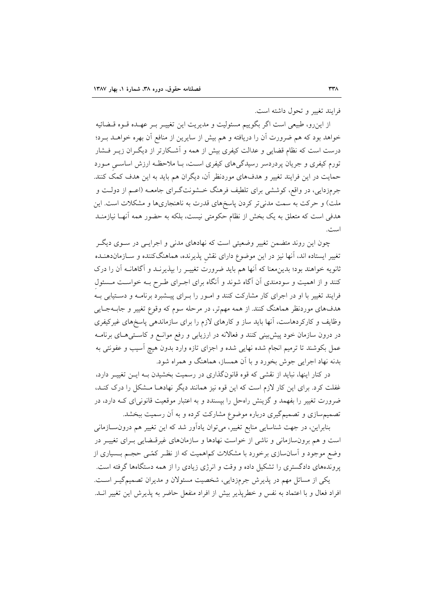فرايند تغيير وتحول داشته است.

از این رو، طبیعی است اگر بگوییم مسئولیت و مدیریت این تغییـر بـر عهـده قـوه قــضائیه خواهد بود که هم ضرورت آن را دریافته و هم بیش از سایرین از منافع آن بهره خواهــد بــرد؛ درست است که نظام قضایی و عدالت کیفری بیش از همه و آشـکارتر از دیگـران زیــر فــشار تورم کیفری و جریان پردردسر رسیدگیهای کیفری است، بـا ملاحظـه ارزش اساسـی مـورد حمایت در این فرایند تغییر و هدفهای موردنظر آن، دیگران هم باید به این هدف کمک کنند. جرمزدایی، در واقع، کوششی برای تلطیف فرهنگ خــشونتگــرای جامعــه (اعــم از دولــت و ملت) و حرکت به سمت مدنی تر کردن پاسخهای قدرت به ناهنجاریها و مشکلات است. این هدفی است که متعلق به یک بخش از نظام حکومتی نیست، بلکه به حضور همه آنهـا نیازمنــد است.

چون این روند متضمن تغییر وضعیتی است که نهادهای مدنی و اجرایـبی در ســوی دیگــر تغییر ایستاده اند، آنها نیز در این موضوع دارای نقش پذیرنده، هماهنگکننده و سـازماندهنــده ثانویه خواهند بود؛ بدینِمعنا که آنها هم باید ضرورت تغییــر را بپذیرنــد و آگاهانــه آن را درک کنند و از اهمیت و سودمندی آن آگاه شوند و آنگاه برای اجـرای طـرح بـه خواسـت مـسئول فرایند تغییر با او در اجرای کار مشارکت کنند و امور را بـرای پیـشبرد برنامـه و دسـتیابی بـه هدفهای موردنظر هماهنگ کنند. از همه مهمتر، در مرحله سوم که وقوع تغییر و جابـهجـایی وظایف و کارکردهاست، آنها باید ساز و کارهای لازم را برای سازماندهی پاسخهای غیرکیفری در درون سازمان خود پیش بینی کنند و فعالانه در ارزیابی و رفع موانـع و کاسـتی۵حـای برنامــه عمل بکوشند تا ترمیم انجام شده نهایی شده و اجزای تازه وارد بدون هیچ آسیب و عفونتی به بدنه نهاد اجرایی جوش بخورد و با آن همساز، هماهنگ و همراه شود.

در کنار اینها، نباید از نقشی که قوه قانونگذاری در رسمیت بخشیدن بـه ایــن تغییــر دارد، غفلت کرد. برای این کار لازم است که این قوه نیز همانند دیگر نهادهـا مـشکل را درک کنـد، ضرورت تغییر را بفهمد و گزینش راهحل را بپسندد و به اعتبار موقعیت قانونیای کـه دارد، در تصمیم سازی و تصمیم گیری درباره موضوع مشارکت کرده و به آن رسمیت ببخشد.

بنابراین، در جهت شناسایی منابع تغییر، میتوان یادآور شد که این تغییر هم درون سازمانی است و هم برونسازمانی و ناشی از خواست نهادها و سازمانهای غیرقـضایی بـرای تغییـر در وضع موجود و اّسانسازی برخورد با مشکلات کم۱همیت که از نظـر کمّـی حجـم بــسیاری از یروندههای دادگستری را تشکیل داده و وقت و انرژی زیادی را از همه دستگاهها گرفته است. یکی از مسائل مهم در پذیرش جرمزدایی، شخصیت مسئولان و مدیران تصمیم گیـر اسـت.

افراد فعال و با اعتماد به نفس و خطرپذیر بیش از افراد منفعل حاضر به پذیرش این تغییر انــد.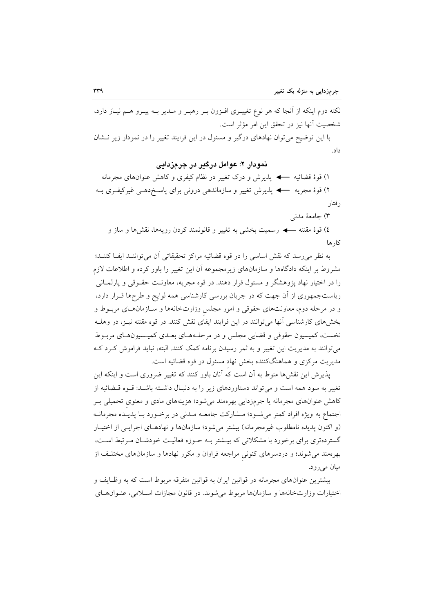نکته دوم اینکه از آنجا که هر نوع تغییــری افــزون بــر رهبــر و مــدیر بــه پیــرو هــم نیــاز دارد، شخصيت آنها نيز در تحقق اين امر مؤثر است.

با این توضیح میتوان نهادهای درگیر و مسئول در این فرایند تغییر را در نمودار زیر نـشان داد.

## نمودار ۲: عوامل درگیر در جرمزدایی

۱) قوهٔ قضائیه → پذیرش و درک تغییر در نظام کیفری و کاهش عنوانهای مجرمانه ر فتار

٣) جامعهٔ مدنی

٤) قوهٔ مقننه ← رسمیت بخشی به تغییر و قانونمند کردن رویهها، نقشها و ساز و كار ها

به نظر می رسد که نقش اساسی را در قوه قضائیه مراکز تحقیقاتی آن می تواننـد ایفـا کننـد؛ مشروط بر اینکه دادگاهها و سازمانهای زیرمجموعه آن این تغییر را باور کرده و اطلاعات لازم را در اختیار نهاد پژوهشگر و مسئول قرار دهند. در قوه مجریه، معاونت حقـوقی و پارلمـانی ریاستجمهوری از آن جهت که در جریان بررسی کارشناسی همه لوایح و طرحها قـرار دارد، و در مرحله دوم، معاونتهای حقوقی و امور مجلس وزارتخانهها و سـازمانهـای مربـوط و بخشهای کارشناسی آنها می توانند در این فرایند ایفای نقش کنند. در قوه مقننه نیـز، در وهلـه نخست، كميسيون حقوقي و قضايي مجلس و در مرحلـههـاي بعـدي كميـسيونهـاي مربـوط می توانند به مدیریت این تغییر و به ثمر رسیدن برنامه کمک کنند. البته، نباید فراموش کـرد کـه مديريت مركزي و هماهنگكننده بخش نهاد مسئول در قوه قضائيه است.

یذیرش این نقشها منوط به آن است که آنان باور کنند که تغییر ضروری است و اینکه این تغییر به سود همه است و می تواند دستاوردهای زیر را به دنبـال داشـته باشـد: قـوه قــضائیه از کاهش عنوانهای مجرمانه یا جرمزدایی بهرهمند میشود؛ هزینههای مادی و معنوی تحمیلی بـر اجتماع به ويژه افراد كمتر مي شـود؛ مــشاركت جامعــه مــدني در برخــورد بــا يديــده مجرمانــه (و اکنون پدیده نامطلوب غیرمجرمانه) بیشتر میشود؛ سازمانها و نهادهـای اجرایـی از اختیـار گستردهتری برای برخورد با مشکلاتی که بیـشتر بـه حـوزه فعالیـت خودشـان مـرتبط اسـت، بهرهمند میشوند؛ و دردسرهای کنونی مراجعه فراوان و مکرر نهادها و سازمانهای مختلـف از مبان مے رو د.

بیشترین عنوانهای مجرمانه در قوانین ایران به قوانین متفرقه مربوط است که به وظـایف و اختيارات وزارتخانهها و سازمانها مربوط مي شوند. در قانون مجازات اسلامي، عنـوانهـاي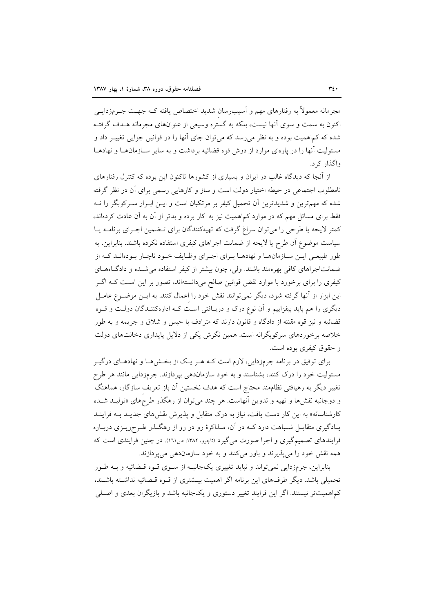مجرمانه معمولاً به رفتارهای مهم و آسیب٫سان شدید اختصاص یافته کـه جهـت جـرمزدایــی اکنون به سمت و سوی آنها نیست، بلکه به گستره وسیعی از عنوانهای مجرمانه هـدف گرفتـه شده که کماهمیت بوده و به نظر میرسد که می توان جای آنها را در قوانین جزایی تغییـر داد و مسئولیت آنها را در پارهای موارد از دوش قوه قضائیه برداشت و به سایر سـازمانهـا و نهادهـا واگذار کر د.

از آنجا که دیدگاه غالب در ایران و بسیاری از کشورها تاکنون این بوده که کنترل رفتارهای نامطلوب اجتماعی در حیطه اختیار دولت است و ساز و کارهایی رسمی برای آن در نظر گرفته شده که مهمترین و شدیدترین آن تحمیل کیفر بر مرتکبان است و ایــن ابــزار ســرکوبگر را نــه فقط برای مسائل مهم که در موارد کماهمیت نیز به کار برده و بدتر از آن به آن عادت کردهاند، کمتر لایحه یا طرحی را می توان سراغ گرفت که تهیهکنندگان برای تـضمین اجـرای برنامــه پــا سیاست موضوع آن طرح یا لایحه از ضمانت اجراهای کیفری استفاده نکرده باشند. بنابراین، به طور طبیعی ایـن سـازمانهـا و نهادهـا بـرای اجـرای وظـایف خـود ناچـار بـودهانـد کـه از ضمانتاجراهای کافی بهرهمند باشند. ولی، چون بیشتر از کیفر استفاده می شـده و دادگـاههـای کیفری را برای برخورد با موارد نقض قوانین صالح میدانستهاند، تصور بر این است کـه اگـر این ابزار از آنها گرفته شود، دیگر نمی توانند نقش خود را اعمال کنند. به ایـن موضـوع عامـل دیگری را هم باید بیفزاییم و آن نوع درک و دریـافتی اسـت کـه ادارهکننـدگان دولـت و قــوه قضائيه و نيز قوه مقننه از دادگاه و قانون دارند كه مترادف با حبس و شلاق و جريمه و به طور خلاصه برخوردهای سرکوبگرانه است. همین نگرش یکی از دلایل پایداری دخالتهای دولت و حقوق کیفری بوده است.

برای توفیق در برنامه جرمزدایی، لازم است کـه هـر یـک از بخـشهـا و نهادهـای درگیـر مسئولیت خود را درک کنند، بشناسند و به خود سازماندهی بپردازند. جرمزدایی مانند هر طرح تغییر دیگر به رهیافتی نظامهند محتاج است که هدف نخستین آن باز تعریف سازگار، هماهنگ و دوجانبه نقشها و تهیه و تدوین أنهاست. هر چند می توان از رهگذر طرحهای «تولیـد شـده کارشناسانه» به این کار دست یافت، نیاز به درک متقابل و پذیرش نقش های جدیـد بــه فراینــد یـادگیری متقابــل شــباهت دارد کــه در آن، مــذاکرهٔ رو در رو از رهگــذر طــرحریــزی دربــاره فرایندهای تصمیمگیری و اجرا صورت میگیرد (تاچرو، ۱۳۸۲، ص۱۶۱). در چنین فرایندی است که همه نقش خود را میپذیرند و باور میکنند و به خود سازماندهی میپردازند.

بنابراين، جرمزدايي نمي تواند و نبايد تغييري يکجانبـه از سـوي قـوه قـضائيه و بـه طـور تحمیلی باشد. دیگر طرفهای این برنامه اگر اهمیت بیـشتری از قـوه قـضائیه نداشـته باشـند، کماهمیتتر نیستند. اگر این فرایند تغییر دستوری و یکجانبه باشد و بازیگران بعدی و اصـلی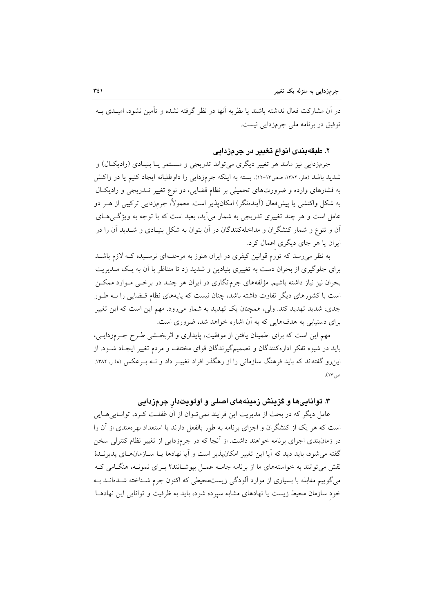در آن مشارکت فعال نداشته باشند یا نظریه آنها در نظر گرفته نشده و تأمین نشود، امیـدی بــه توفيق در برنامه ملي جرمزدايي نيست.

#### ۲. طبقهبندی انواع تغییر در جرمزدایی

جرمزدایی نیز مانند هر تغییر دیگری میتواند تدریجی و مستمر یـا بنیـادی (رادیکـال) و شدید باشد (هلر، ۱۳۸۲، صص۱۳-۱۲). بسته به اینکه جرمزدایی را داوطلبانه ایجاد کنیم یا در واکنش به فشارهای وارده و ضرورتهای تحمیلی بر نظام قضایی، دو نوع تغییر تـدریجی و رادیکـال به شکل واکنشی یا پیش فعال (اَیندهنگر) امکان پذیر است. معمولاً، جرم(دایی ترکیبی از هـر دو عامل است و هر چند تغییری تدریجی به شمار میآید، بعید است که با توجه به ویژگیهای آن و تنوع و شمار کنشگران و مداخلهکنندگان در آن بتوان به شکل بنیـادی و شــدید آن را در ایران یا هر جای دیگری اعمال کرد.

به نظر می رسد که تورم قوانین کیفری در ایران هنوز به مرحلـهای نرسـیده کـه لازم باشـد برای جلوگیری از بحران دست به تغییری بنیادین و شدید زد تا متناظر با آن به یک مـدیریت بحران نیز نیاز داشته باشیم. مؤلفههای جرمانگاری در ایران هر چنـد در برخــی مــوارد ممکــن است با کشورهای دیگر تفاوت داشته باشد، چنان نیست که پایههای نظام قـضایی را بــه طـور جدی، شدید تهدید کند. ولی، همچنان یک تهدید به شمار میرود. مهم این است که این تغییر برای دستیابی به هدفهایی که به آن اشاره خواهد شد، ضروری است.

مهم این است که برای اطمینان یافتن از موفقیت، پایداری و اثربخشی طـرح جـرمزدایـی، باید در شیوه تفکر ادارهکنندگان و تصمیمگیرندگان قوای مختلف و مردم تغییر ایجـاد شــود. از این٫و گفتهاند که باید فرهنگ سازمانی را از رهگذر افراد تغییـر داد و نـه بـرعکس (ملـر، ۱۳۸۲، ص ١٧).

### ۳. تواناییها و گزینش زمینههای اصلی و اولویتدار جرمزدایی

عامل دیگر که در بحث از مدیریت این فرایند نمیتوان از آن غفلت کـرد، توانـاییهـایی است که هر یک از کنشگران و اجزای برنامه به طور بالفعل دارند یا استعداد بهرهمندی از آن را در زمانبندی اجرای برنامه خواهند داشت. از آنجا که در جرمزدایی از تغییر نظام کنترلی سخن گفته می شود، باید دید که آیا این تغییر امکان پذیر است و آیا نهادها یـا سـازمانهـای پذیرنـدهٔ نقش می توانند به خواستههای ما از برنامه جامـه عمـل بیوشـانند؟ بـرای نمونـه، هنگـامی کـه می گوییم مقابله با بسیاری از موارد آلودگی زیستمحیطی که اکنون جرم شـناخته شـدهانــد بــه خود سازمان محیط زیست یا نهادهای مشابه سیرده شود، باید به ظرفیت و توانایی این نهادهـا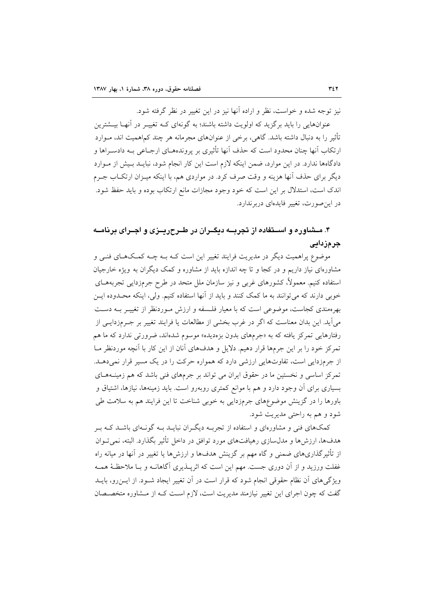نیز توجه شده و خواست، نظر و اراده آنها نیز در این تغییر در نظر گرفته شود.

عنوانهایی را باید برگزید که اولویت داشته باشند؛ به گونهای کـه تغییـر در آنهـا بیــشترین تأثیر را به دنبال داشته باشد. گاهی، برخی از عنوانهای مجرمانه هر چند کماهمیت اند، مــوارد ارتکاب آنها چنان محدود است که حذف آنها تأثیری بر پروندههــای ارجــاعی بــه دادســراها و دادگاهها ندارد. در این موارد، ضمن اینکه لازم است این کار انجام شود، نبایـد بـیش از مـوارد دیگر برای حذف آنها هزینه و وقت صرف کرد. در مواردی هم، با اینکه میـزان ارتکــاب جــرم اندک است، استدلال بر این است که خود وجود مجازات مانع ارتکاب بوده و باید حفظ شود. در این صورت، تغییر فایدهای دربرندارد.

# ۴. مــشاوره و اســتفاده از تجربــه دیگــران در طــرح٫یــزی و اجــرای برنامــه جر ۾زادائي

موضوع پراهمیت دیگر در مدیریت فرایند تغییر این است کـه بــه چــه کمــکـهــای فنــی و مشاورمای نیاز داریم و در کجا و تا چه اندازه باید از مشاوره و کمک دیگران به ویژه خارجیان استفاده کنیم. معمولاً، کشورهای غربی و نیز سازمان ملل متحد در طرح جرمزدایی تجربههــای خوبی دارند که میتوانند به ما کمک کنند و باید از آنها استفاده کنیم. ولی، اینکه محـدوده ایـن بهرهمندی کجاست، موضوعی است که با معیار فلسفه و ارزش مـوردنظر از تغییـر بــه دسـت می آید. این بدان معناست که اگر در غرب بخشی از مطالعات یا فرایند تغییر بر جـرمزدایـی از رفتارهایی تمرکز یافته که به «جرمهای بدون بزهدیده» موسوم شدهاند، ضرورتی ندارد که ما هم تمرکز خود را بر این جرمها قرار دهیم. دلایل و هدفهای آنان از این کار با آنچه موردنظر مــا از جرمزدایی است، تفاوتهایی ارزشی دارد که همواره حرکت را در یک مسیر قرار نمی دهـد. تمرکز اساسی و نخستین ما در حقوق ایران می تواند بر جرمهای فنی باشد که هم زمینـههـای بسیاری برای آن وجود دارد و هم با موانع کمتری روبهرو است. باید زمینهها، نیازها، اشتیاق و باورها را در گزینش موضوعهای جرمزدایی به خوبی شناخت تا این فرایند هم به سلامت طی شود و هم به راحتی مدیریت شود.

کمکهای فنی و مشاورهای و استفاده از تجربـه دیگـران نبایــد بــه گونــهای باشــد کــه بــر هدفها، ارزش ها و مدل سازی رهیافتهای مورد توافق در داخل تأثیر بگذارد. البته، نمی تـوان از تأثیرگذاریهای ضمنی و گاه مهم بر گزینش هدفها و ارزشها یا تغییر در آنها در میانه راه غفلت ورزید و از آن دوری جست. مهم این است که اثریــذیری آگاهانــه و بــا ملاحظـهٔ همــه ویژگی های آن نظام حقوقی انجام شود که قرار است در آن تغییر ایجاد شـود. از ایــن(و، بایــد گفت که چون اجرای این تغییر نیازمند مدیریت است، لازم است کـه از مـشاوره متخصـصان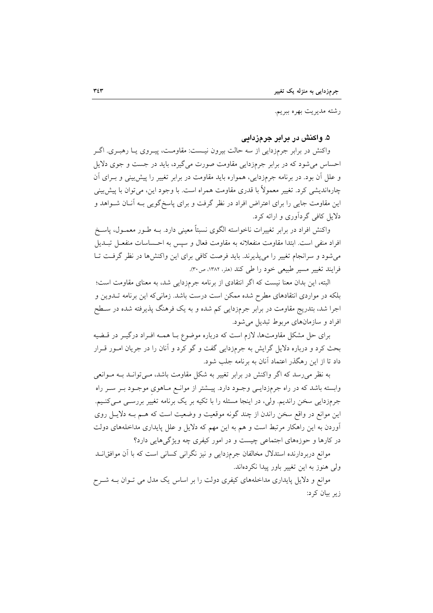رشته مديريت بهره ببريم.

۵. واکنش در برابر جرمزدایی

واکنش در برابر جرمزدایی از سه حالت بیرون نیـست: مقاومـت، پیــروی یــا رهبــری. اگــر احساس می شود که در برابر جرمزدایی مقاومت صورت می گیرد، باید در جست و جوی دلایل و علل آن بود. در برنامه جرمزدایی، همواره باید مقاومت در برابر تغییر را پیش بینی و بــرای آن چارهانديشي كرد. تغيير معمولاً با قدري مقاومت همراه است. با وجود اين، مي توان با پيش بيني این مقاومت جایی را برای اعتراض افراد در نظر گرفت و برای پاسخگویی بـه آنــان شــواهد و دلایل کافی گردآوری و ارائه کرد.

واکنش افراد در برابر تغییرات ناخواسته الگوی نسبتاً معینی دارد. بــه طــور معمــول، پاســخ افراد منفي است. ابتدا مقاومت منفعلانه به مقاومت فعال و سپس به احـساسات منفعــل تبــديل می شود و سرانجام تغییر را می پذیرند. باید فرصت کافی برای این واکنشها در نظر گرفت تـا فرايند تغيير مسير طبيعي خود را طي كند (هلر، ١٣٨٢، ص٣٠).

البته، این بدان معنا نیست که اگر انتقادی از برنامه جرمزدایی شد، به معنای مقاومت است؛ بلکه در مواردی انتقادهای مطرح شده ممکن است درست باشد. زمانی که این برنامه تــدوین و اجرا شد، بتدریج مقاومت در برابر جرمزدایی کم شده و به یک فرهنگ پذیرفته شده در سـطح افراد و سازمانهای مربوط تبدیل می شود.

برای حل مشکل مقاومتها، لازم است که درباره موضوع بـا همـه افـراد درگیـر در قـضیه بحث کرد و درباره دلایل گرایش به جرمزدایی گفت و گو کرد و آنان را در جریان امـور قـرار داد تا از این رهگذر اعتماد آنان به برنامه جلب شود.

به نظر می رسد که اگر واکنش در برابر تغییر به شکل مقاومت باشد، مـی توانـد بــه مـوانعی وابسته باشد که در راه جرمزدایـی وجـود دارد. پیــشتر از موانـع مـاهوی موجـود بـر سـر راه جرمزدایی سخن راندیم. ولی، در اینجا مسئله را با تکیه بر یک برنامه تغییر بررسـی مـیکنـیم. این موانع در واقع سخن راندن از چند گونه موقعیت و وضعیت است که هـم بـه دلایـل روی آوردن به این راهکار مرتبط است و هم به این مهم که دلایل و علل پایداری مداخلههای دولت در کارها و حوزههای اجتماعی چیست و در امور کیفری چه ویژگیهایی دارد؟

موانع دربردارنده استدلال مخالفان جرمزدایی و نیز نگرانی کسانی است که با آن موافقانــد ولی هنوز به این تغییر باور پیدا نکردهاند.

موانع و دلایل پایداری مداخلههای کیفری دولت را بر اساس یک مدل می تـوان بــه شــرح زیر بیان کرد: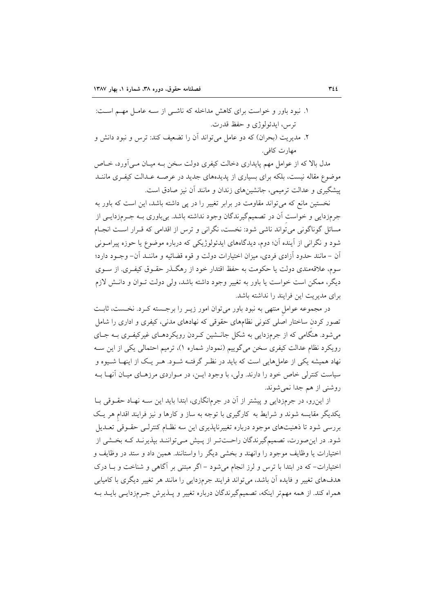- ۱. نبود باور و خواست برای کاهش مداخله که ناشـی از سـه عامـل مهـم اسـت: ترس، ابدئولوژي و حفظ قدرت.
- ۲. مدیریت (بحران) که دو عامل می تواند آن را تضعیف کند: ترس و نبود دانش و مهارت كافي.

مدل بالا که از عوامل مهم پایداری دخالت کیفری دولت سخن بـه میـان مـی آورد، خــاص موضوع مقاله نیست، بلکه برای بسیاری از پدیدههای جدید در عرصـه عـدالت کیفـری ماننــد پیشگیری و عدالت ترمیمی، جانشینهای زندان و مانند آن نیز صادق است.

نخستین مانع که می تواند مقاومت در برابر تغییر را در پی داشته باشد، این است که باور به جرمزدایی و خواست آن در تصمیمگیرندگان وجود نداشته باشد. بیباوری بــه جــرمزدایــی از مسائل گوناگونی می تواند ناشی شود: نخست، نگرانی و ترس از اقدامی که قـرار اسـت انجـام شود و نگرانی از آینده آن؛ دوم، دیدگاههای ایدئولوژیکی که درباره موضوع یا حوزه پیرامـونی أن – مانند حدود أزادي فردي، ميزان اختيارات دولت و قوه قضائيه و ماننـد أن– وجــود دارد؛ سوم، علاقهمندي دولت يا حكومت به حفظ اقتدار خود از رهگــذر حقــوق كيفــري. از ســوي دیگر، ممکن است خواست یا باور به تغییر وجود داشته باشد، ولی دولت تـوان و دانـش لازم برای مدیریت این فرایند را نداشته باشد.

در مجموعه عوامل منتهی به نبود باور می توان امور زیـر را برجـسته کـرد. نخـست، ثابـت تصور کردن ساختار اصلی کنونی نظامهای حقوقی که نهادهای مدنی، کیفری و اداری را شامل می شود. هنگامی که از جرمزدایی به شکل جانــشین کـردن رویکردهــای غیرکیفـری بــه جــای رویکرد نظام عدالت کیفری سخن میگوییم (نمودار شماره ۱)، ترمیم احتمالی یکی از این سـه نهاد همیشه یکی از عاملهایی است که باید در نظـر گرفتـه شـود. هـر یـک از اینهـا شـیوه و سیاست کنترلی خاص خود را دارند. ولی، با وجود ایـن، در مـواردی مرزهـای میـان آنهـا بـه روشني از هم جدا نمي شوند.

از این رو، در جرمزدایی و پیشتر از آن در جرمانگاری، ابتدا باید این سـه نهـاد حقـوقی بـا یکدیگر مقایسه شوند و شرایط به کارگیری با توجه به ساز و کارها و نیز فرایند اقدام هر یک بررسی شود تا ذهنیتهای موجود درباره تغییرناپذیری این سه نظـام کنترلـی حقــوقی تعــدیل شود. در این صورت، تصمیمگیرندگان راحـتتـر از پـیش مـی تواننـد بیذیرنـد کـه بخـشی از اختیارات یا وظایف موجود را وانهند و بخشی دیگر را واستانند. همین داد و ستد در وظایف و اختیارات- که در ابتدا با ترس و لرز انجام می شود – اگر مبتنی بر آگاهی و شناخت و بـا درک هدفهای تغییر و فایده آن باشد، می تواند فرایند جرمزدایی را مانند هر تغییر دیگری با کامیابی همراه کند. از همه مهمتر اینکه، تصمیمگیرندگان درباره تغییر و پـذیرش جـرمزدایـی بایــد بــه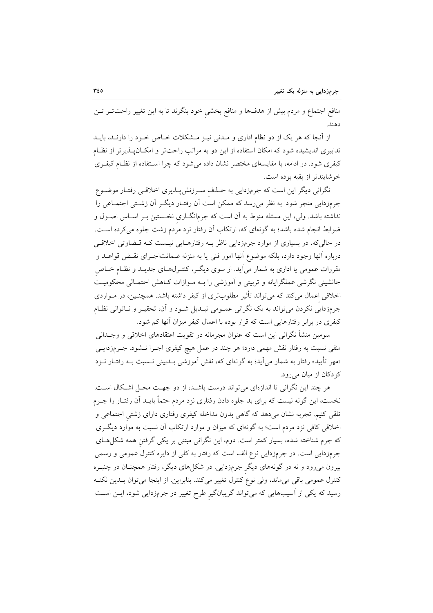منافع اجتماع و مردم بیش از هدفها و منافع بخشی خود بنگرند تا به این تغییر راحتتر تـن دهند.

از آنجا که هر یک از دو نظام اداری و مـدنی نیـز مـشکلات خـاص خـود را دارنـد، بایـد تدابیری اندیشیده شود که امکان استفاده از این دو به مراتب راحتتر و امکـانپــذیرتر از نظـام کیفری شود. در ادامه، با مقایسهای مختصر نشان داده می شود که چرا استفاده از نظـام کیفـری خوشايندتر از بقيه بوده است.

نگرانی دیگر این است که جرمزدایی به حـذف سـرزنشپــذیری اخلاقــی رفتـار موضــوع جرمزدایی منجر شود. به نظر می رسد که ممکن است آن رفتـار دیگـر آن زشـتی اجتمــاعی را نداشته باشد. ولی، این مسئله منوط به آن است که جرمانگــاری نخــستین بــر اســاس اصــول و ضوابط انجام شده باشد؛ به گونهای که، ارتکاب اَن رفتار نزد مردم زشت جلوه می کرده اسـت. در حالی که، در بسیاری از موارد جرمزدایی ناظر بـه رفتارهـایی نیـست کـه قـضاوتی اخلاقـی درباره آنها وجود دارد، بلکه موضوع آنها امور فنی یا به منزله ضمانتاجـرای نقـض قواعــد و مقررات عمومی یا اداری به شمار می آید. از سوی دیگـر، کنتـرل6ـای جدیـد و نظـام خــاص جانشینی نگرشی عملگرایانه و تربیتی و آموزشی را بـه مـوازات کـاهش احتمـالی محکومیـت اخلاقی اعمال میکند که میتواند تأثیر مطلوبتری از کیفر داشته باشد. همچنـین، در مـواردی جرمزدایی نکردن می تواند به یک نگرانی عمـومی تبـدیل شـود و آن، تحقیـر و نـاتوانی نظـام کیفری در برابر رفتارهایی است که قرار بوده با اعمال کیفر میزان آنها کم شود.

سومین منشأ نگرانی این است که عنوان مجرمانه در تقویت اعتقادهای اخلاقی و وجــدانی منفی نسبت به رفتار نقش مهمی دارد؛ هر چند در عمل هیچ کیفری اجـرا نـشود. جـرمزدایـی «مهر تأیید» رفتار به شمار میآید؛ به گونهای که، نقش آموزشی بــدبینی نــسبت بــه رفتــار نــزد کو دکان از میان می رود.

هر چند این نگرانی تا اندازهای می تواند درست باشـد، از دو جهـت محـل اشـكال اسـت. نخست، این گونه نیست که برای بد جلوه دادن رفتاری نزد مردم حتماً بایــد آن رفتــار را جــرم تلقی کنیم. تجربه نشان میدهد که گاهی بدون مداخله کیفری رفتاری دارای زشتی اجتماعی و اخلاقی کافی نزد مردم است؛ به گونهای که میزان و موارد ارتکاب آن نسبت به موارد دیگری که جرم شناخته شده، بسیار کمتر است. دوم، این نگرانی مبتنی بر یکی گرفتن همه شکلهـای جرمزدایی است. در جرمزدایی نوع الف است که رفتار به کلی از دایره کنترل عمومی و رسمی بیرون میرود و نه در گونههای دیگر جرمزدایی. در شکلهای دیگر، رفتار همچنـان در چنبـره كنترل عمومي باقي ميءاند، ولي نوع كنترل تغيير ميكند. بنابراين، از اينجا مي توان بــدين نكتــه رسید که یکی از آسیبهایی که میتواند گریبانگیر طرح تغییر در جرمزدایی شود، ایــن اســت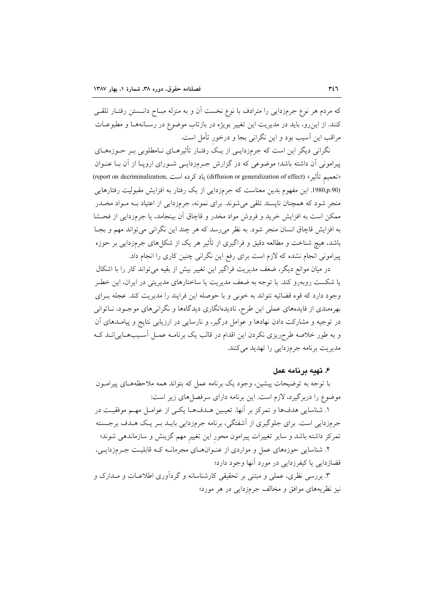که مردم هر نوع جرمزدایی را مترادف با نوع نخست آن و به منزله مبـاح دانـستن رفتـار تلقـی کنند. از این رو، باید در مدیریت این تغییر بویژه در بازتاب موضوع در رسـانههـا و مطبوعـات مراقب این آسیب بود و این نگرانی بجا و درخور تأمل است.

نگرانی دیگر این است که جرمزدایـی از یـک رفتـار تأثیرهـای نــامطلوبی بـر حــوزههــای پیرامونی آن داشته باشد؛ موضوعی که در گزارش جـرمزدایـی شـورای اروپـا از آن بـا عنـوان القعميم تأثير» (diffusion or generalization of effect) ياد كرده است (report on decriminalization) (1980,p.90. این مفهوم بدین معناست که جرمزدایی از یک رفتار به افزایش مقبولیت رفتارهایی منجر شود که همچنان نایسند تلقی می شوند. برای نمونه، جرمزدایی از اعتیاد بـه مـواد مخــدر ممکن است به افزایش خرید و فروش مواد مخدر و قاچاق آن بینجامد، یا جرمزدایی از فحــشا به افزايش قاچاق انسان منجر شود. به نظر مي رسد كه هر چند اين نگراني مي تواند مهم و بجـا باشد، هیچ شناخت و مطالعه دقیق و فراگیری از تأثیر هر یک از شکلهای جرمزدایی بر حوزه پیرامونی انجام نشده که لازم است برای رفع این نگرانی چنین کاری را انجام داد.

در میان موانع دیگر، ضعف مدیریت فراگیر این تغییر بیش از بقیه میتواند کار را با اشکال یا شکست روبهرو کند. با توجه به ضعف مدیریت یا ساختارهای مدیریتی در ایران، این خطـر وجود دارد كه قوه قضائيه نتواند به خوبي و با حوصله اين فرايند را مديريت كند. عجله بـراي بهرهمندی از فایدههای عملی این طرح، نادیدهانگاری دیدگاهها و نگرانیهای موجـود، نــاتوانی در توجیه و مشارکت دادن نهادها و عوامل درگیر، و نارسایی در ارزیابی نتایج و پیامــدهای آن و به طور خلاصه طرحریزی نکردن این اقدام در قالب یک برنامـه عمـل اَسـیبهـاییانــد کـه مدیریت برنامه جرمزدایی را تهدید میکنند.

#### ۶. تهيه برنامه عمل

با توجه به توضیحات پیشین، وجود یک برنامه عمل که بتواند همه ملاحظههـای پیرامـون موضوع را دربرگیرد، لازم است. این برنامه دارای سرفصل های زیر است:

١. شناسايي هدفها و تمركز بر آنها. تعيين هـدفهـا يكـي از عوامـل مهـم موفقيـت در جرمزدایی است. برای جلوگیری از آشفتگی، برنامه جرمزدایی بایـد بـر یـک هـدف برجــسته تمرکز داشته باشد و سایر تغییرات پیرامون محور این تغییر مهم گزینش و سازماندهی شوند؛ ۲. شناسایی حوزههای عمل و مواردی از عنـوانهــای مجرمانــه کــه قابلیــت جــرمزدایــی،

قضازدایی یا کیفرزدایی در مورد آنها وجود دارد؛

۳. بررسی نظری، عملی و مبتنی بر تحقیقی کارشناسانه و گردآوری اطلاعــات و مــدارک و نیز نظریههای موافق و مخالف جرمزدایی در هر مورد؛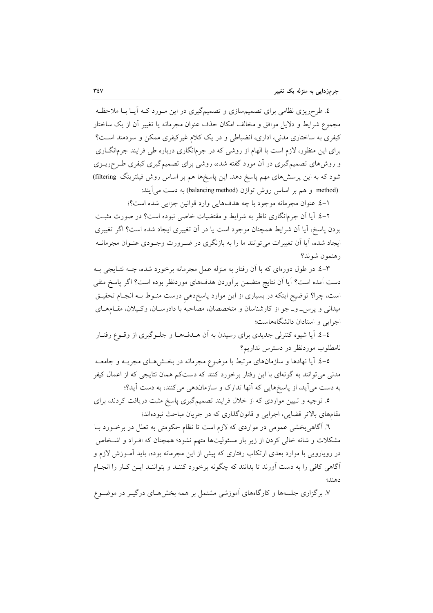٤. طرحریزی نظامی برای تصمیمسازی و تصمیمگیری در این مـورد کــه آیــا بــا ملاحظـه مجموع شرايط و دلايل موافق و مخالف امكان حذف عنوان مجرمانه يا تغيير أن از يك ساختار کیفری به ساختاری مدنی، اداری، انضباطی و در یک کلام غیرکیفری ممکن و سودمند است؟ برای این منظور، لازم است با الهام از روشی که در جرمانگاری درباره طی فرایند جرمانگــاری و روش۵ای تصمیمگیری در آن مورد گفته شده، روشی برای تصمیمگیری کیفری طـرحریــزی شود که به این پرسشهای مهم پاسخ دهد. این پاسخها هم بر اساس روش فیلترینگ filtering) method) و هم بر اساس روش توازن (balancing method) به دست می آیند:

١-٤. عنوان مجرمانه موجود با چه هدفهايي وارد قوانين جزايي شده است؟؛

۲-٤. آیا آن جرمانگاری ناظر به شرایط و مقتضیات خاصی نبوده است؟ در صورت مثبت بودن پاسخ، آیا اَن شرایط همچنان موجود است یا در اَن تغییری ایجاد شده است؟ اگر تغییری ایجاد شده، آیا اَن تغییرات می توانند ما را به بازنگری در ضـرورت وجـودی عنـوان مجرمانــه رهنمون شوند؟

۳–٤. در طول دورهای که با آن رفتار به منزله عمل مجرمانه برخورد شده، چــه نتــايجي بــه دست آمده است؟ آيا آن نتايج متضمن برأوردن هدفهاي موردنظر بوده است؟ اگر پاسخ منفي است، چرا؟ توضیح اینکه در بسیاری از این موارد پاسخ‹هی درست منـوط بــه انجـام تحقیــق میدانی و پرس- و-جو از کارشناسان و متخصصان، مصاحبه با دادرسـان، وکـیلان، مقـامهـای اجرایی و استادان دانشگاههاست؛

٤-٤. آيا شيوه كنترلي جديدي براي رسيدن به آن هــدفهــا و جلــوگيري از وقــوع رفتــار نامطلوب موردنظر در دسترس نداریم؟

٥-٤. آیا نهادها و سازمانهای مرتبط با موضوع مجرمانه در بخشهای مجریــه و جامعــه مدنی میتوانند به گونهای با این رفتار برخورد کنند که دستکم همان نتایجی که از اعمال کیفر به دست می آید، از پاسخهایی که آنها تدارک و سازماندهی میکنند، به دست آید؟؛

۵. توجیه و تبیین مواردی که از خلال فرایند تصمیمگیری پاسخ مثبت دریافت کردند، برای مقامهای بالاتر قضایی، اجرایی و قانونگذاری که در جریان مباحث نبودهاند؛

٦. آگاهی بخشی عمومی در مواردی که لازم است تا نظام حکومتی به تعلل در برخورد بــا مشکلات و شانه خالبی کردن از زیر بار مسئولیتها متهم نشود؛ همچنان که افـراد و اشـخاص در رویارویی با موارد بعدی ارتکاب رفتاری که پیش از این مجرمانه بوده، باید آمـوزش لازم و آگاهی کافی را به دست آورند تا بدانند که چگونه برخورد کننـد و بتواننـد ایـن کـار را انجـام دهند؛

۷. برگزاری جلسهها و کارگاههای آموزشی مشتمل بر همه بخشهـای درگیـر در موضـوع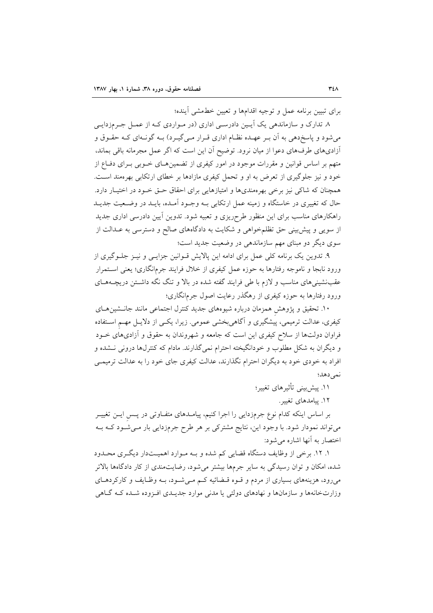برای تبیین برنامه عمل و توجیه اقدامها و تعیین خطمشی آینده؛

۸. تدارک و سازماندهی یک آپـین دادرسـی اداری (در مـواردی کـه از عمـل جـرمزدایـی میشود و پاسخدهی به آن بـر عهـده نظـام اداری قـرار مـیگیـرد) بـه گونـهای کـه حقـوق و أزاديهاي طرفهاي دعوا از ميان نرود. توضيح آن اين است كه اگر عمل مجرمانه باقي بماند، متهم بر اساس قوانین و مقررات موجود در امور کیفری از تضمین هـای خـوبی بـرای دفـاع از خود و نیز جلوگیری از تعرض به او و تحمل کیفری مازادها بر خطای ارتکابی بهرهمند است. همچنان که شاکی نیز برخی بهرهمندیها و امتیازهایی برای احقاق حـق خـود در اختیـار دارد. حال که تغییری در خاستگاه و زمینه عمل ارتکابی بـه وجـود آمـده، بایـد در وضـعیت جدیـد راهکارهای مناسب برای این منظور طرحریزی و تعبیه شود. تدوین آیین دادرسی اداری جدید از سویی و پیش بینی حق تظلمخواهی و شکایت به دادگاههای صالح و دسترسی به عــدالت از سوی دیگر دو مبنای مهم سازماندهی در وضعیت جدید است؛

۹. تدوین یک برنامه کلّی عمل برای ادامه این پالایش قــوانین جزایــی و نیــز جلــوگیری از ورود نابجا و ناموجه رفتارها به حوزه عمل کیفری از خلال فرایند جرمانگاری؛ یعنی اسـتمرار عقبنشینیهای مناسب و لازم با طی فرایند گفته شده در بالا و تنگ نگه داشــتن دریچــههــای ورود رفتارها به حوزه کیفری از رهگذر رعایت اصول جرمانگاری؛

۱۰. تحقیق و پژوهش همزمان درباره شیوههای جدید کنترل اجتماعی مانند جانــشینهــای کیفری، عدالت ترمیمی، پیشگیری و آگاهی بخشی عمومی. زیرا، یکسی از دلایــل مهــم اســتفاده فراوان دولتها از سلاح کیفری این است که جامعه و شهروندان به حقوق و آزادیهای خــود و دیگران به شکل مطلوب و خودانگیخته احترام نمیگذارند. مادام که کنترلها درونی نـشده و افراد به خودی خود به دیگران احترام نگذارند، عدالت کیفری جای خود را به عدالت ترمیمـی نمى دهد؛

١١. ييش بيني تأثيرهاي تغيير؛

١٢. پيامدهاي تغيير.

بر اساس اینکه کدام نوع جرمزدایی را اجرا کنیم، پیامـدهای متفــاوتی در پــس ایــن تغییــر می تواند نمودار شود. با وجود این، نتایج مشترکی بر هر طرح جرمزدایی بار مـیشـود کـه بـه اختصار به آنها اشاره می شود:

۱. ۱۲. برخی از وظایف دستگاه قضایی کم شده و بـه مـوارد اهمیـتدار دیگـری محـدود شده، امکان و توان رسیدگی به سایر جرمها بیشتر می شود، رضایتمندی از کار دادگاهها بالاتر می رود، هزینههای بسیاری از مردم و قـوه قـضائیه کـم مـی شـود، بـه وظـایف و کارکردهـای وزارتخانهها و سازمانها و نهادهای دولتی یا مدنی موارد جدیـدی افـزوده شـده کـه گـاهی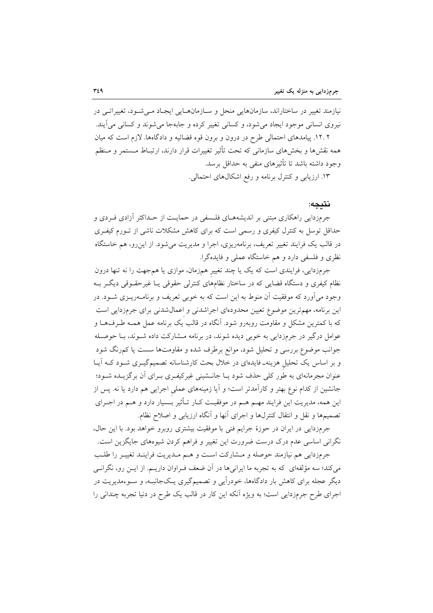نیازمند تغییر در ساختاراند، سازمانهایی منحل و سـازمانهـایی ایجـاد مـیشـود، تغییراتـی در نیروی انسانی موجود ایجاد می شود، و کسانی تغییر کرده و جابهجا می شوند و کسانی می آیند. ۱۲.۲. پیامدهای احتمالی طرح در درون و برون قوه قضائیه و دادگاهها. لازم است که میان همه نقشها و بخشهای سازمانی که تحت تأثیر تغییرات قرار دارند، ارتبـاط مــستمر و مـنظم وجود داشته باشد تا تأثیرهای منفی به حداقل برسد.

۱۳. ارزیابی و کنترل برنامه و رفع اشکالهای احتمالی.

#### نتىجە:

جرمزدایی راهکاری مبتنی بر اندیشههـای فلـسفی در حمایـت از حــداکثر آزادی فــردی و حداقل توسل به کنترل کیفری و رسمی است که برای کاهش مشکلات ناشی از تـورم کیفـری در قالب یک فرایند تغییر تعریف، برنامهریزی، اجرا و مدیریت می شود. از این رو، هم خاستگاه نظری و فلسفی دارد و هم خاستگاه عملی و فایدهگرا.

جرمزدایی، فرایندی است که یک یا چند تغییر همزمان، موازی یا همجهت را نه تنها درون نظام کیفری و دستگاه قضایی که در ساختار نظامهای کنترلی حقوقی یـا غیرحقــوقی دیگــر بــه وجود می آورد که موفقیت آن منوط به این است که به خوبی تعریف و برنامـهریــزی شــود. در این برنامه، مهمترین موضوع تعیین محدودهای اجراشدنی و اعمال شدنی برای جرمزدایی است که با کمترین مشکل و مقاومت روبهرو شود. آنگاه در قالب یک برنامه عمل همـه طـرفهـا و عوامل درگیر در جرمزدایی به خوبی دیده شوند، در برنامه مـشارکت داده شـوند، بـا حوصـله جوانب موضوع بررسی و تحلیل شود، موانع برطرف شده و مقاومتها سست یا کمرنگ شود و بر اساس یک تحلیل هزینهـ فایدهای در خلال بحث کارشناسانه تصمیمگیـری شـود کـه آیـا عنوان مجرمانهای به طور کلی حذف شود یـا جانــشینی غیرکیفـری بـرای آن برگزیــده شــود؛ جانشین از کدام نوع بهتر و کارآمدتر است؛ و آیا زمینههای عملی اجرایی هم دارد یا نه. پس از این همه، مدیریت این فرایند مهــم هــم در موفقیــت کــار تــأثیر بــسیار دارد و هــم در اجــرای تصمیمها و نقل و انتقال کنترلها و اجرای أنها و أنگاه ارزیابی و اصلاح نظام.

جرمزدایی در ایران در حوزهٔ جرایم فنی با موفقیت بیشتری روبرو خواهد بود. با این حال، .<br>نگرانی اساسی عدم درک درست ضرورت این تغییر و فراهم کردن شیوههای جایگزین است.

جرمزدايي هم نيازمند حوصله و مـشاركت اسـت و هـم مـديريت فراينـد تغييـر را طلـب می کند؛ سه مؤلفهای که به تجربه ما ایرانیها در آن ضعف فـراوان داریــم. از ایــن رو، نگرانــی دیگر عجله برای کاهش بار دادگاهها، خودرأیی و تصمیمگیری یـکجانبـه، و سـوءمدیریت در اجرای طرح جرمزدایی است؛ به ویژه آنکه این کار در قالب یک طرح در دنیا تجربه چندانی را